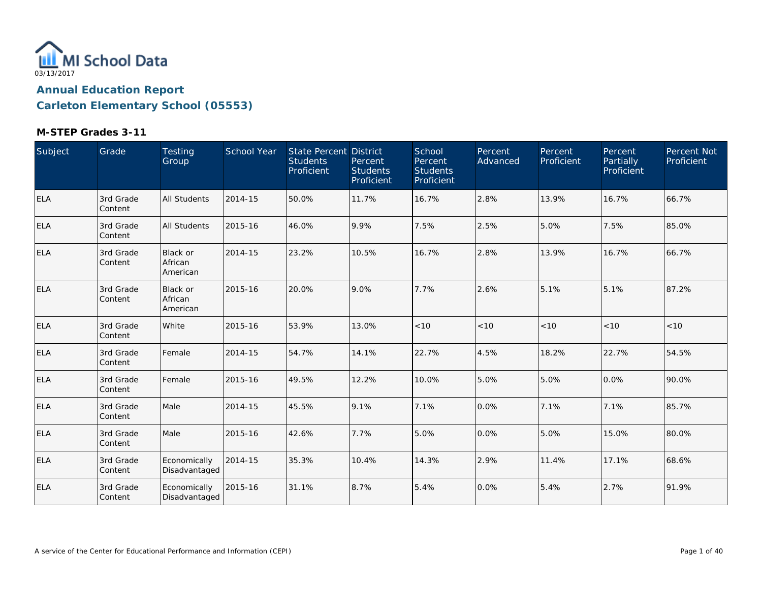

| Subject    | Grade                 | Testing<br>Group                       | School Year | <b>State Percent District</b><br><b>Students</b><br>Proficient | Percent<br><b>Students</b><br>Proficient | School<br>Percent<br><b>Students</b><br>Proficient | Percent<br>Advanced | Percent<br>Proficient | Percent<br>Partially<br>Proficient | Percent Not<br>Proficient |
|------------|-----------------------|----------------------------------------|-------------|----------------------------------------------------------------|------------------------------------------|----------------------------------------------------|---------------------|-----------------------|------------------------------------|---------------------------|
| ELA        | 3rd Grade<br>Content  | <b>All Students</b>                    | 2014-15     | 50.0%                                                          | 11.7%                                    | 16.7%                                              | 2.8%                | 13.9%                 | 16.7%                              | 66.7%                     |
| ELA        | 3rd Grade<br>Content  | All Students                           | 2015-16     | 46.0%                                                          | 9.9%                                     | 7.5%                                               | 2.5%                | 5.0%                  | 7.5%                               | 85.0%                     |
| <b>ELA</b> | 3rd Grade<br>Content  | <b>Black or</b><br>African<br>American | 2014-15     | 23.2%                                                          | 10.5%                                    | 16.7%                                              | 2.8%                | 13.9%                 | 16.7%                              | 66.7%                     |
| ELA        | 3rd Grade<br>Content  | Black or<br>African<br>American        | 2015-16     | 20.0%                                                          | 9.0%                                     | 7.7%                                               | 2.6%                | 5.1%                  | 5.1%                               | 87.2%                     |
| ELA        | 3rd Grade<br>Content  | White                                  | 2015-16     | 53.9%                                                          | 13.0%                                    | < 10                                               | $<10$               | < 10                  | < 10                               | < 10                      |
| <b>ELA</b> | 3rd Grade<br>Content  | Female                                 | 2014-15     | 54.7%                                                          | 14.1%                                    | 22.7%                                              | 4.5%                | 18.2%                 | 22.7%                              | 54.5%                     |
| ELA        | 3rd Grade<br>Content  | Female                                 | 2015-16     | 49.5%                                                          | 12.2%                                    | 10.0%                                              | 5.0%                | 5.0%                  | 0.0%                               | 90.0%                     |
| ELA        | 3rd Grade<br> Content | Male                                   | 2014-15     | 45.5%                                                          | 9.1%                                     | 7.1%                                               | 0.0%                | 7.1%                  | 7.1%                               | 85.7%                     |
| ELA        | 3rd Grade<br>Content  | Male                                   | 2015-16     | 42.6%                                                          | 7.7%                                     | 5.0%                                               | 0.0%                | 5.0%                  | 15.0%                              | 80.0%                     |
| <b>ELA</b> | 3rd Grade<br>Content  | Economically<br>Disadvantaged          | 2014-15     | 35.3%                                                          | 10.4%                                    | 14.3%                                              | 2.9%                | 11.4%                 | 17.1%                              | 68.6%                     |
| <b>ELA</b> | 3rd Grade<br>Content  | Economically<br>Disadvantaged          | 2015-16     | 31.1%                                                          | 8.7%                                     | 5.4%                                               | 0.0%                | 5.4%                  | 2.7%                               | 91.9%                     |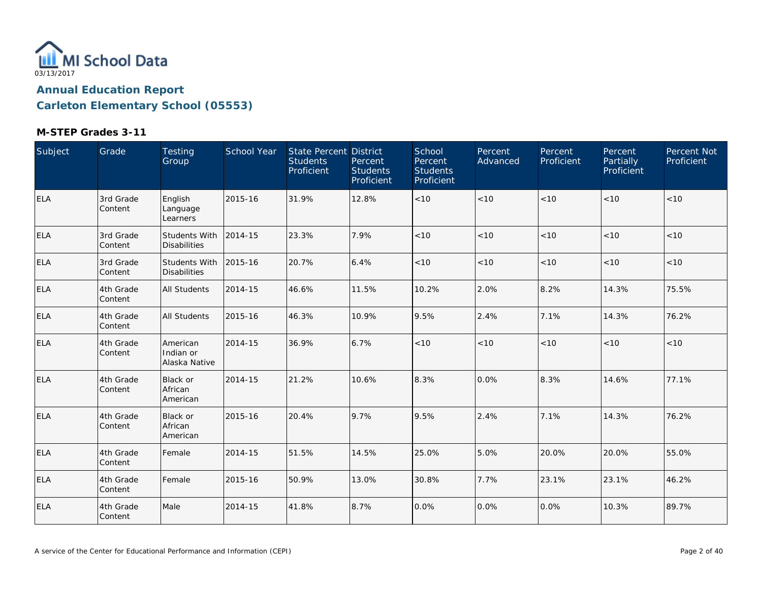

| Subject    | Grade                 | Testing<br>Group                            | School Year | State Percent District<br><b>Students</b><br>Proficient | Percent<br><b>Students</b><br>Proficient | School<br>Percent<br><b>Students</b><br>Proficient | Percent<br>Advanced | Percent<br>Proficient | Percent<br><b>Partially</b><br>Proficient | Percent Not<br>Proficient |
|------------|-----------------------|---------------------------------------------|-------------|---------------------------------------------------------|------------------------------------------|----------------------------------------------------|---------------------|-----------------------|-------------------------------------------|---------------------------|
| ELA        | 3rd Grade<br>Content  | English<br>Language<br>Learners             | 2015-16     | 31.9%                                                   | 12.8%                                    | $<10$                                              | < 10                | < 10                  | < 10                                      | < 10                      |
| <b>ELA</b> | 3rd Grade<br>Content  | Students With<br><b>Disabilities</b>        | 2014-15     | 23.3%                                                   | 7.9%                                     | $<10$                                              | < 10                | < 10                  | < 10                                      | < 10                      |
| ELA        | 3rd Grade<br>Content  | <b>Students With</b><br><b>Disabilities</b> | 2015-16     | 20.7%                                                   | 6.4%                                     | $<10$                                              | < 10                | < 10                  | < 10                                      | < 10                      |
| <b>ELA</b> | 4th Grade<br>Content  | All Students                                | 2014-15     | 46.6%                                                   | 11.5%                                    | 10.2%                                              | 2.0%                | 8.2%                  | 14.3%                                     | 75.5%                     |
| <b>ELA</b> | 4th Grade<br>Content  | <b>All Students</b>                         | 2015-16     | 46.3%                                                   | 10.9%                                    | 9.5%                                               | 2.4%                | 7.1%                  | 14.3%                                     | 76.2%                     |
| <b>ELA</b> | 4th Grade<br>Content  | American<br>Indian or<br>Alaska Native      | 2014-15     | 36.9%                                                   | 6.7%                                     | < 10                                               | < 10                | < 10                  | < 10                                      | < 10                      |
| ELA        | 4th Grade<br> Content | <b>Black or</b><br>African<br>American      | 2014-15     | 21.2%                                                   | 10.6%                                    | 8.3%                                               | 0.0%                | 8.3%                  | 14.6%                                     | 77.1%                     |
| <b>ELA</b> | 4th Grade<br>Content  | Black or<br>African<br>American             | 2015-16     | 20.4%                                                   | 9.7%                                     | 9.5%                                               | 2.4%                | 7.1%                  | 14.3%                                     | 76.2%                     |
| ELA        | 4th Grade<br>Content  | Female                                      | 2014-15     | 51.5%                                                   | 14.5%                                    | 25.0%                                              | 5.0%                | 20.0%                 | 20.0%                                     | 55.0%                     |
| <b>ELA</b> | 4th Grade<br>Content  | Female                                      | 2015-16     | 50.9%                                                   | 13.0%                                    | 30.8%                                              | 7.7%                | 23.1%                 | 23.1%                                     | 46.2%                     |
| <b>ELA</b> | 4th Grade<br>Content  | Male                                        | 2014-15     | 41.8%                                                   | 8.7%                                     | 0.0%                                               | 0.0%                | 0.0%                  | 10.3%                                     | 89.7%                     |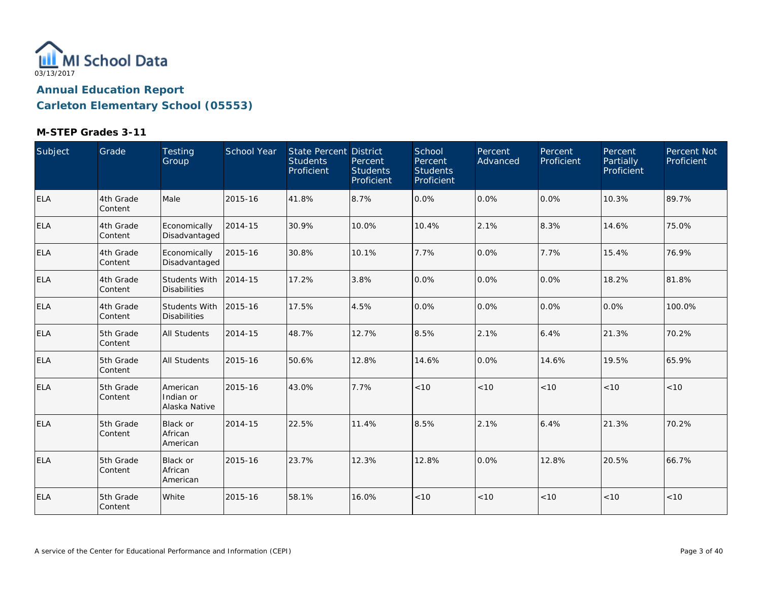

| Subject    | Grade                | Testing<br>Group                            | School Year | State Percent District<br><b>Students</b><br>Proficient | Percent<br><b>Students</b><br>Proficient | School<br>Percent<br><b>Students</b><br>Proficient | Percent<br>Advanced | Percent<br>Proficient | Percent<br>Partially<br>Proficient | Percent Not<br>Proficient |
|------------|----------------------|---------------------------------------------|-------------|---------------------------------------------------------|------------------------------------------|----------------------------------------------------|---------------------|-----------------------|------------------------------------|---------------------------|
| <b>ELA</b> | 4th Grade<br>Content | Male                                        | 2015-16     | 41.8%                                                   | 8.7%                                     | 0.0%                                               | 0.0%                | 0.0%                  | 10.3%                              | 89.7%                     |
| <b>ELA</b> | 4th Grade<br>Content | Economically<br>Disadvantaged               | 2014-15     | 30.9%                                                   | 10.0%                                    | 10.4%                                              | 2.1%                | 8.3%                  | 14.6%                              | 75.0%                     |
| <b>ELA</b> | 4th Grade<br>Content | Economically<br>Disadvantaged               | 2015-16     | 30.8%                                                   | 10.1%                                    | 7.7%                                               | 0.0%                | 7.7%                  | 15.4%                              | 76.9%                     |
| <b>ELA</b> | 4th Grade<br>Content | Students With<br><b>Disabilities</b>        | 2014-15     | 17.2%                                                   | 3.8%                                     | 0.0%                                               | 0.0%                | $0.0\%$               | 18.2%                              | 81.8%                     |
| <b>ELA</b> | 4th Grade<br>Content | <b>Students With</b><br><b>Disabilities</b> | 2015-16     | 17.5%                                                   | 4.5%                                     | 0.0%                                               | 0.0%                | 0.0%                  | 0.0%                               | 100.0%                    |
| <b>ELA</b> | 5th Grade<br>Content | <b>All Students</b>                         | 2014-15     | 48.7%                                                   | 12.7%                                    | 8.5%                                               | 2.1%                | 6.4%                  | 21.3%                              | 70.2%                     |
| <b>ELA</b> | 5th Grade<br>Content | <b>All Students</b>                         | 2015-16     | 50.6%                                                   | 12.8%                                    | 14.6%                                              | 0.0%                | 14.6%                 | 19.5%                              | 65.9%                     |
| <b>ELA</b> | 5th Grade<br>Content | American<br>Indian or<br>Alaska Native      | 2015-16     | 43.0%                                                   | 7.7%                                     | < 10                                               | < 10                | < 10                  | < 10                               | < 10                      |
| <b>ELA</b> | 5th Grade<br>Content | Black or<br>African<br>American             | 2014-15     | 22.5%                                                   | 11.4%                                    | 8.5%                                               | 2.1%                | 6.4%                  | 21.3%                              | 70.2%                     |
| <b>ELA</b> | 5th Grade<br>Content | <b>Black or</b><br>African<br>American      | 2015-16     | 23.7%                                                   | 12.3%                                    | 12.8%                                              | 0.0%                | 12.8%                 | 20.5%                              | 66.7%                     |
| <b>ELA</b> | 5th Grade<br>Content | White                                       | 2015-16     | 58.1%                                                   | 16.0%                                    | < 10                                               | < 10                | < 10                  | < 10                               | $<10$                     |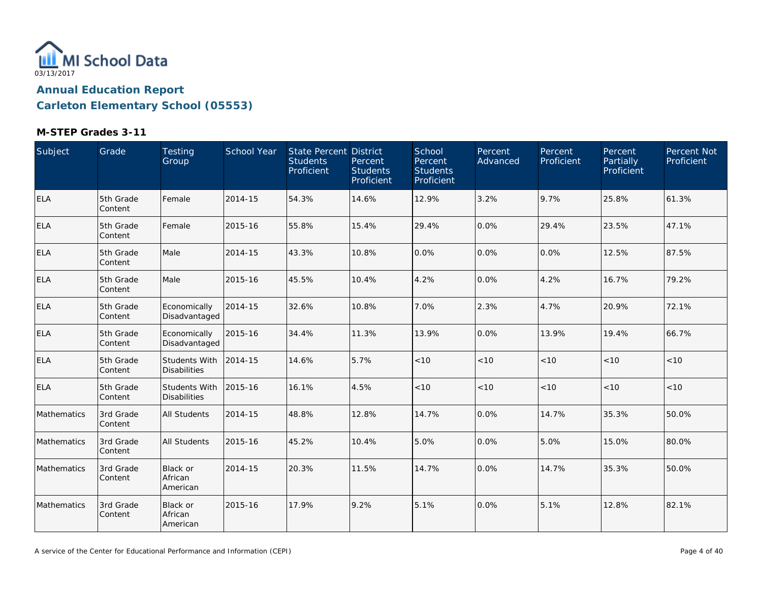

| Subject     | Grade                | Testing<br>Group                     | School Year | <b>State Percent District</b><br><b>Students</b><br>Proficient | Percent<br><b>Students</b><br>Proficient | School<br>Percent<br><b>Students</b><br>Proficient | Percent<br>Advanced | Percent<br>Proficient | <b>Percent</b><br>Partially<br>Proficient | Percent Not<br>Proficient |
|-------------|----------------------|--------------------------------------|-------------|----------------------------------------------------------------|------------------------------------------|----------------------------------------------------|---------------------|-----------------------|-------------------------------------------|---------------------------|
| ELA         | 5th Grade<br>Content | Female                               | 2014-15     | 54.3%                                                          | 14.6%                                    | 12.9%                                              | 3.2%                | 9.7%                  | 25.8%                                     | 61.3%                     |
| <b>ELA</b>  | 5th Grade<br>Content | Female                               | 2015-16     | 55.8%                                                          | 15.4%                                    | 29.4%                                              | 0.0%                | 29.4%                 | 23.5%                                     | 47.1%                     |
| <b>ELA</b>  | 5th Grade<br>Content | Male                                 | 2014-15     | 43.3%                                                          | 10.8%                                    | 0.0%                                               | 0.0%                | 0.0%                  | 12.5%                                     | 87.5%                     |
| <b>ELA</b>  | 5th Grade<br>Content | Male                                 | 2015-16     | 45.5%                                                          | 10.4%                                    | 4.2%                                               | 0.0%                | 4.2%                  | 16.7%                                     | 79.2%                     |
| ELA         | 5th Grade<br>Content | Economically<br>Disadvantaged        | 2014-15     | 32.6%                                                          | 10.8%                                    | 7.0%                                               | 2.3%                | 4.7%                  | 20.9%                                     | 72.1%                     |
| <b>ELA</b>  | 5th Grade<br>Content | Economically<br>Disadvantaged        | 2015-16     | 34.4%                                                          | 11.3%                                    | 13.9%                                              | 0.0%                | 13.9%                 | 19.4%                                     | 66.7%                     |
| <b>ELA</b>  | 5th Grade<br>Content | Students With<br><b>Disabilities</b> | 2014-15     | 14.6%                                                          | 5.7%                                     | < 10                                               | < 10                | < 10                  | < 10                                      | < 10                      |
| <b>ELA</b>  | 5th Grade<br>Content | Students With<br><b>Disabilities</b> | 2015-16     | 16.1%                                                          | 4.5%                                     | < 10                                               | < 10                | < 10                  | < 10                                      | < 10                      |
| Mathematics | 3rd Grade<br>Content | <b>All Students</b>                  | 2014-15     | 48.8%                                                          | 12.8%                                    | 14.7%                                              | 0.0%                | 14.7%                 | 35.3%                                     | 50.0%                     |
| Mathematics | 3rd Grade<br>Content | All Students                         | 2015-16     | 45.2%                                                          | 10.4%                                    | 5.0%                                               | 0.0%                | 5.0%                  | 15.0%                                     | 80.0%                     |
| Mathematics | 3rd Grade<br>Content | Black or<br>African<br>American      | 2014-15     | 20.3%                                                          | 11.5%                                    | 14.7%                                              | 0.0%                | 14.7%                 | 35.3%                                     | 50.0%                     |
| Mathematics | 3rd Grade<br>Content | Black or<br>African<br>American      | 2015-16     | 17.9%                                                          | 9.2%                                     | 5.1%                                               | 0.0%                | 5.1%                  | 12.8%                                     | 82.1%                     |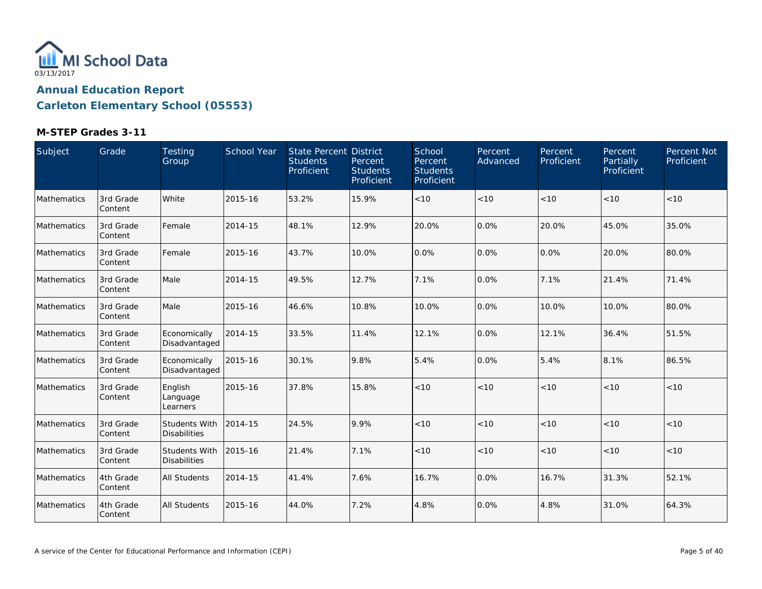

| Subject     | Grade                 | Testing<br>Group                     | School Year | State Percent District<br><b>Students</b><br>Proficient | Percent<br><b>Students</b><br>Proficient | School<br>Percent<br><b>Students</b><br>Proficient | Percent<br>Advanced | Percent<br>Proficient | Percent<br>Partially<br>Proficient | Percent Not<br>Proficient |
|-------------|-----------------------|--------------------------------------|-------------|---------------------------------------------------------|------------------------------------------|----------------------------------------------------|---------------------|-----------------------|------------------------------------|---------------------------|
| Mathematics | 3rd Grade<br>Content  | White                                | 2015-16     | 53.2%                                                   | 15.9%                                    | $<10$                                              | < 10                | < 10                  | < 10                               | < 10                      |
| Mathematics | 3rd Grade<br>Content  | Female                               | 2014-15     | 48.1%                                                   | 12.9%                                    | 20.0%                                              | 0.0%                | 20.0%                 | 45.0%                              | 35.0%                     |
| Mathematics | 3rd Grade<br> Content | Female                               | 2015-16     | 43.7%                                                   | 10.0%                                    | 0.0%                                               | 0.0%                | 0.0%                  | 20.0%                              | 80.0%                     |
| Mathematics | 3rd Grade<br>Content  | Male                                 | 2014-15     | 49.5%                                                   | 12.7%                                    | 7.1%                                               | 0.0%                | 7.1%                  | 21.4%                              | 71.4%                     |
| Mathematics | 3rd Grade<br>Content  | Male                                 | 2015-16     | 46.6%                                                   | 10.8%                                    | 10.0%                                              | 0.0%                | 10.0%                 | 10.0%                              | 80.0%                     |
| Mathematics | 3rd Grade<br>Content  | Economically<br>Disadvantaged        | 2014-15     | 33.5%                                                   | 11.4%                                    | 12.1%                                              | 0.0%                | 12.1%                 | 36.4%                              | 51.5%                     |
| Mathematics | 3rd Grade<br>Content  | Economically<br>Disadvantaged        | 2015-16     | 30.1%                                                   | 9.8%                                     | 5.4%                                               | 0.0%                | 5.4%                  | 8.1%                               | 86.5%                     |
| Mathematics | 3rd Grade<br>Content  | English<br>Language<br>Learners      | 2015-16     | 37.8%                                                   | 15.8%                                    | < 10                                               | < 10                | < 10                  | < 10                               | < 10                      |
| Mathematics | 3rd Grade<br>Content  | Students With<br><b>Disabilities</b> | 2014-15     | 24.5%                                                   | 9.9%                                     | $<10$                                              | $<10$               | < 10                  | < 10                               | < 10                      |
| Mathematics | 3rd Grade<br>Content  | Students With<br><b>Disabilities</b> | 2015-16     | 21.4%                                                   | 7.1%                                     | < 10                                               | < 10                | < 10                  | < 10                               | < 10                      |
| Mathematics | 4th Grade<br>Content  | <b>All Students</b>                  | 2014-15     | 41.4%                                                   | 7.6%                                     | 16.7%                                              | 0.0%                | 16.7%                 | 31.3%                              | 52.1%                     |
| Mathematics | 4th Grade<br>Content  | <b>All Students</b>                  | 2015-16     | 44.0%                                                   | 7.2%                                     | 4.8%                                               | 0.0%                | 4.8%                  | 31.0%                              | 64.3%                     |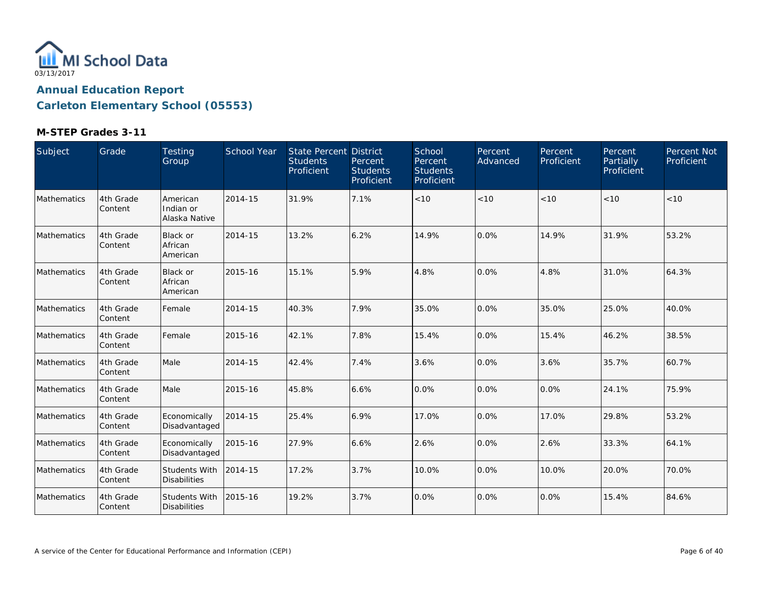

| Subject     | Grade                | Testing<br>Group                            | School Year | State Percent District<br><b>Students</b><br>Proficient | Percent<br><b>Students</b><br>Proficient | School<br>Percent<br><b>Students</b><br>Proficient | Percent<br>Advanced | Percent<br>Proficient | Percent<br>Partially<br>Proficient | Percent Not<br>Proficient |
|-------------|----------------------|---------------------------------------------|-------------|---------------------------------------------------------|------------------------------------------|----------------------------------------------------|---------------------|-----------------------|------------------------------------|---------------------------|
| Mathematics | 4th Grade<br>Content | American<br>Indian or<br>Alaska Native      | 2014-15     | 31.9%                                                   | 7.1%                                     | < 10                                               | < 10                | < 10                  | < 10                               | < 10                      |
| Mathematics | 4th Grade<br>Content | Black or<br>African<br>American             | 2014-15     | 13.2%                                                   | 6.2%                                     | 14.9%                                              | 0.0%                | 14.9%                 | 31.9%                              | 53.2%                     |
| Mathematics | 4th Grade<br>Content | Black or<br>African<br>American             | 2015-16     | 15.1%                                                   | 5.9%                                     | 4.8%                                               | 0.0%                | 4.8%                  | 31.0%                              | 64.3%                     |
| Mathematics | 4th Grade<br>Content | Female                                      | 2014-15     | 40.3%                                                   | 7.9%                                     | 35.0%                                              | 0.0%                | 35.0%                 | 25.0%                              | 40.0%                     |
| Mathematics | 4th Grade<br>Content | Female                                      | 2015-16     | 42.1%                                                   | 7.8%                                     | 15.4%                                              | 0.0%                | 15.4%                 | 46.2%                              | 38.5%                     |
| Mathematics | 4th Grade<br>Content | Male                                        | 2014-15     | 42.4%                                                   | 7.4%                                     | 3.6%                                               | 0.0%                | 3.6%                  | 35.7%                              | 60.7%                     |
| Mathematics | 4th Grade<br>Content | Male                                        | 2015-16     | 45.8%                                                   | 6.6%                                     | 0.0%                                               | 0.0%                | $0.0\%$               | 24.1%                              | 75.9%                     |
| Mathematics | 4th Grade<br>Content | Economically<br>Disadvantaged               | 2014-15     | 25.4%                                                   | 6.9%                                     | 17.0%                                              | 0.0%                | 17.0%                 | 29.8%                              | 53.2%                     |
| Mathematics | 4th Grade<br>Content | Economically<br>Disadvantaged               | 2015-16     | 27.9%                                                   | 6.6%                                     | 2.6%                                               | 0.0%                | 2.6%                  | 33.3%                              | 64.1%                     |
| Mathematics | 4th Grade<br>Content | <b>Students With</b><br><b>Disabilities</b> | 2014-15     | 17.2%                                                   | 3.7%                                     | 10.0%                                              | 0.0%                | 10.0%                 | 20.0%                              | 70.0%                     |
| Mathematics | 4th Grade<br>Content | Students With<br><b>Disabilities</b>        | 2015-16     | 19.2%                                                   | 3.7%                                     | 0.0%                                               | 0.0%                | $0.0\%$               | 15.4%                              | 84.6%                     |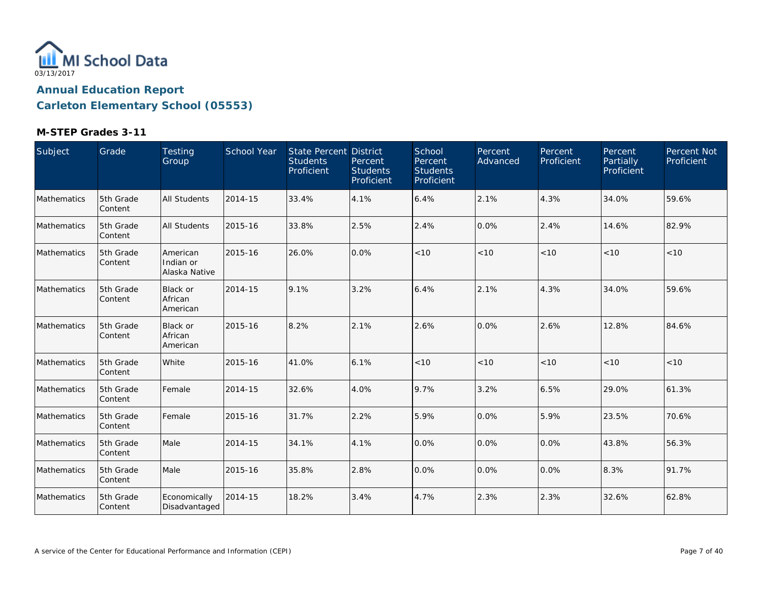

| Subject     | Grade                | Testing<br>Group                       | School Year | State Percent District<br><b>Students</b><br>Proficient | Percent<br><b>Students</b><br>Proficient | School<br>Percent<br><b>Students</b><br>Proficient | Percent<br>Advanced | Percent<br>Proficient | Percent<br>Partially<br>Proficient | Percent Not<br>Proficient |
|-------------|----------------------|----------------------------------------|-------------|---------------------------------------------------------|------------------------------------------|----------------------------------------------------|---------------------|-----------------------|------------------------------------|---------------------------|
| Mathematics | 5th Grade<br>Content | <b>All Students</b>                    | 2014-15     | 33.4%                                                   | 4.1%                                     | 6.4%                                               | 2.1%                | 4.3%                  | 34.0%                              | 59.6%                     |
| Mathematics | 5th Grade<br>Content | <b>All Students</b>                    | 2015-16     | 33.8%                                                   | 2.5%                                     | 2.4%                                               | 0.0%                | 2.4%                  | 14.6%                              | 82.9%                     |
| Mathematics | 5th Grade<br>Content | American<br>Indian or<br>Alaska Native | 2015-16     | 26.0%                                                   | 0.0%                                     | < 10                                               | < 10                | < 10                  | < 10                               | < 10                      |
| Mathematics | 5th Grade<br>Content | <b>Black or</b><br>African<br>American | 2014-15     | 9.1%                                                    | 3.2%                                     | 6.4%                                               | 2.1%                | 4.3%                  | 34.0%                              | 59.6%                     |
| Mathematics | 5th Grade<br>Content | <b>Black or</b><br>African<br>American | 2015-16     | 8.2%                                                    | 2.1%                                     | 2.6%                                               | 0.0%                | 2.6%                  | 12.8%                              | 84.6%                     |
| Mathematics | 5th Grade<br>Content | White                                  | 2015-16     | 41.0%                                                   | 6.1%                                     | < 10                                               | < 10                | < 10                  | < 10                               | < 10                      |
| Mathematics | 5th Grade<br>Content | Female                                 | 2014-15     | 32.6%                                                   | 4.0%                                     | 9.7%                                               | 3.2%                | 6.5%                  | 29.0%                              | 61.3%                     |
| Mathematics | 5th Grade<br>Content | Female                                 | 2015-16     | 31.7%                                                   | 2.2%                                     | 5.9%                                               | 0.0%                | 5.9%                  | 23.5%                              | 70.6%                     |
| Mathematics | 5th Grade<br>Content | Male                                   | 2014-15     | 34.1%                                                   | 4.1%                                     | 0.0%                                               | 0.0%                | 0.0%                  | 43.8%                              | 56.3%                     |
| Mathematics | 5th Grade<br>Content | Male                                   | 2015-16     | 35.8%                                                   | 2.8%                                     | 0.0%                                               | 0.0%                | 0.0%                  | 8.3%                               | 91.7%                     |
| Mathematics | 5th Grade<br>Content | Economically<br>Disadvantaged          | 2014-15     | 18.2%                                                   | 3.4%                                     | 4.7%                                               | 2.3%                | 2.3%                  | 32.6%                              | 62.8%                     |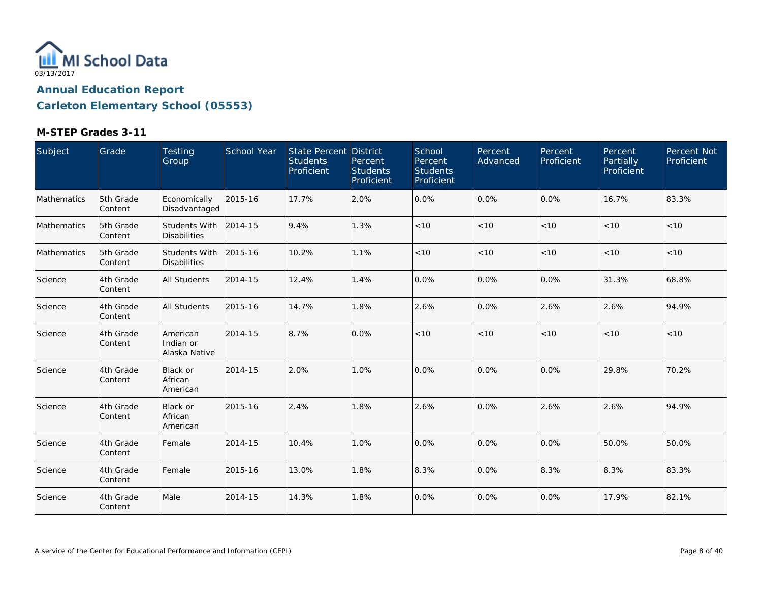

| Subject     | Grade                | Testing<br>Group                       | School Year | State Percent District<br><b>Students</b><br>Proficient | Percent<br><b>Students</b><br>Proficient | School<br>Percent<br><b>Students</b><br>Proficient | Percent<br>Advanced | Percent<br>Proficient | <b>Percent</b><br><b>Partially</b><br>Proficient | Percent Not<br>Proficient |
|-------------|----------------------|----------------------------------------|-------------|---------------------------------------------------------|------------------------------------------|----------------------------------------------------|---------------------|-----------------------|--------------------------------------------------|---------------------------|
| Mathematics | 5th Grade<br>Content | Economically<br>Disadvantaged          | 2015-16     | 17.7%                                                   | 2.0%                                     | 0.0%                                               | 0.0%                | 0.0%                  | 16.7%                                            | 83.3%                     |
| Mathematics | 5th Grade<br>Content | Students With<br><b>Disabilities</b>   | 2014-15     | 9.4%                                                    | 1.3%                                     | < 10                                               | < 10                | < 10                  | < 10                                             | < 10                      |
| Mathematics | 5th Grade<br>Content | Students With<br><b>Disabilities</b>   | 2015-16     | 10.2%                                                   | 1.1%                                     | < 10                                               | < 10                | < 10                  | < 10                                             | < 10                      |
| Science     | 4th Grade<br>Content | <b>All Students</b>                    | 2014-15     | 12.4%                                                   | 1.4%                                     | 0.0%                                               | 0.0%                | 0.0%                  | 31.3%                                            | 68.8%                     |
| Science     | 4th Grade<br>Content | <b>All Students</b>                    | 2015-16     | 14.7%                                                   | 1.8%                                     | 2.6%                                               | 0.0%                | 2.6%                  | 2.6%                                             | 94.9%                     |
| Science     | 4th Grade<br>Content | American<br>Indian or<br>Alaska Native | 2014-15     | 8.7%                                                    | 0.0%                                     | < 10                                               | < 10                | < 10                  | < 10                                             | < 10                      |
| Science     | 4th Grade<br>Content | <b>Black or</b><br>African<br>American | 2014-15     | 2.0%                                                    | 1.0%                                     | 0.0%                                               | 0.0%                | 0.0%                  | 29.8%                                            | 70.2%                     |
| Science     | 4th Grade<br>Content | <b>Black or</b><br>African<br>American | 2015-16     | 2.4%                                                    | 1.8%                                     | 2.6%                                               | 0.0%                | 2.6%                  | 2.6%                                             | 94.9%                     |
| Science     | 4th Grade<br>Content | Female                                 | 2014-15     | 10.4%                                                   | 1.0%                                     | 0.0%                                               | 0.0%                | 0.0%                  | 50.0%                                            | 50.0%                     |
| Science     | 4th Grade<br>Content | Female                                 | 2015-16     | 13.0%                                                   | 1.8%                                     | 8.3%                                               | 0.0%                | 8.3%                  | 8.3%                                             | 83.3%                     |
| Science     | 4th Grade<br>Content | Male                                   | 2014-15     | 14.3%                                                   | 1.8%                                     | 0.0%                                               | 0.0%                | 0.0%                  | 17.9%                                            | 82.1%                     |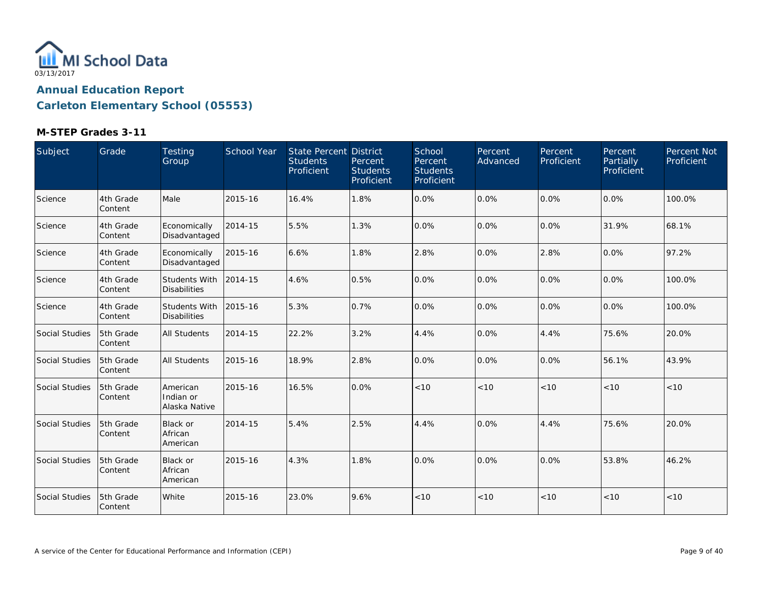

| Subject        | Grade                | Testing<br>Group                            | School Year | State Percent District<br><b>Students</b><br>Proficient | Percent<br><b>Students</b><br>Proficient | School<br>Percent<br><b>Students</b><br>Proficient | Percent<br>Advanced | Percent<br>Proficient | Percent<br>Partially<br>Proficient | Percent Not<br>Proficient |
|----------------|----------------------|---------------------------------------------|-------------|---------------------------------------------------------|------------------------------------------|----------------------------------------------------|---------------------|-----------------------|------------------------------------|---------------------------|
| Science        | 4th Grade<br>Content | Male                                        | 2015-16     | 16.4%                                                   | 1.8%                                     | 0.0%                                               | 0.0%                | 0.0%                  | 0.0%                               | 100.0%                    |
| Science        | 4th Grade<br>Content | Economically<br>Disadvantaged               | 2014-15     | 5.5%                                                    | 1.3%                                     | 0.0%                                               | 0.0%                | 0.0%                  | 31.9%                              | 68.1%                     |
| Science        | 4th Grade<br>Content | Economically<br>Disadvantaged               | 2015-16     | 6.6%                                                    | 1.8%                                     | 2.8%                                               | 0.0%                | 2.8%                  | 0.0%                               | 97.2%                     |
| Science        | 4th Grade<br>Content | <b>Students With</b><br><b>Disabilities</b> | 2014-15     | 4.6%                                                    | 0.5%                                     | 0.0%                                               | 0.0%                | 0.0%                  | 0.0%                               | 100.0%                    |
| Science        | 4th Grade<br>Content | <b>Students With</b><br><b>Disabilities</b> | 2015-16     | 5.3%                                                    | 0.7%                                     | 0.0%                                               | 0.0%                | 0.0%                  | 0.0%                               | 100.0%                    |
| Social Studies | 5th Grade<br>Content | <b>All Students</b>                         | 2014-15     | 22.2%                                                   | 3.2%                                     | 4.4%                                               | 0.0%                | 4.4%                  | 75.6%                              | 20.0%                     |
| Social Studies | 5th Grade<br>Content | <b>All Students</b>                         | 2015-16     | 18.9%                                                   | 2.8%                                     | 0.0%                                               | 0.0%                | 0.0%                  | 56.1%                              | 43.9%                     |
| Social Studies | 5th Grade<br>Content | American<br>Indian or<br>Alaska Native      | 2015-16     | 16.5%                                                   | 0.0%                                     | < 10                                               | < 10                | < 10                  | < 10                               | < 10                      |
| Social Studies | 5th Grade<br>Content | <b>Black or</b><br>African<br>American      | 2014-15     | 5.4%                                                    | 2.5%                                     | 4.4%                                               | 0.0%                | 4.4%                  | 75.6%                              | 20.0%                     |
| Social Studies | 5th Grade<br>Content | <b>Black or</b><br>African<br>American      | 2015-16     | 4.3%                                                    | 1.8%                                     | 0.0%                                               | 0.0%                | 0.0%                  | 53.8%                              | 46.2%                     |
| Social Studies | 5th Grade<br>Content | White                                       | 2015-16     | 23.0%                                                   | 9.6%                                     | < 10                                               | < 10                | < 10                  | < 10                               | < 10                      |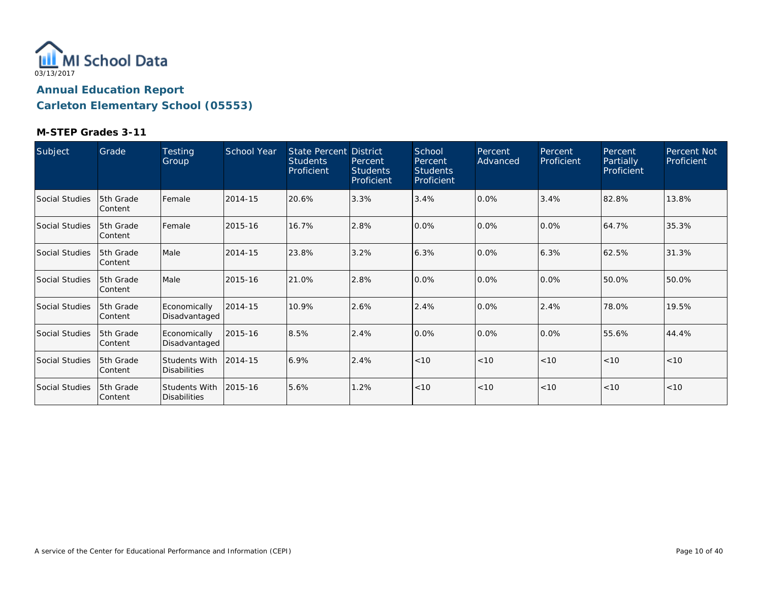

| Subject        | Grade                  | <b>Testing</b><br>Group              | <b>School Year</b> | <b>State Percent District</b><br><b>Students</b><br>Proficient | Percent<br><b>Students</b><br>Proficient | School<br>Percent<br>Students<br>Proficient | Percent<br>Advanced | Percent<br>Proficient | Percent<br>Partially<br>Proficient | Percent Not<br>Proficient |
|----------------|------------------------|--------------------------------------|--------------------|----------------------------------------------------------------|------------------------------------------|---------------------------------------------|---------------------|-----------------------|------------------------------------|---------------------------|
| Social Studies | 5th Grade<br> Content  | Female                               | 2014-15            | 20.6%                                                          | 3.3%                                     | 3.4%                                        | 0.0%                | 3.4%                  | 82.8%                              | 13.8%                     |
| Social Studies | 5th Grade<br> Content  | Female                               | 2015-16            | 16.7%                                                          | 2.8%                                     | 0.0%                                        | 0.0%                | 0.0%                  | 64.7%                              | 35.3%                     |
| Social Studies | 15th Grade<br> Content | Male                                 | 2014-15            | 23.8%                                                          | 3.2%                                     | 6.3%                                        | 0.0%                | 6.3%                  | 62.5%                              | 31.3%                     |
| Social Studies | 5th Grade<br> Content  | Male                                 | 2015-16            | 21.0%                                                          | 2.8%                                     | 0.0%                                        | 0.0%                | 0.0%                  | 50.0%                              | 50.0%                     |
| Social Studies | 5th Grade<br>lContent  | Economically<br>Disadvantaged        | 2014-15            | 10.9%                                                          | 2.6%                                     | 2.4%                                        | 0.0%                | 2.4%                  | 78.0%                              | 19.5%                     |
| Social Studies | 5th Grade<br> Content  | Economically<br>Disadvantaged        | 2015-16            | 8.5%                                                           | 2.4%                                     | 0.0%                                        | 0.0%                | 0.0%                  | 55.6%                              | 44.4%                     |
| Social Studies | 5th Grade<br> Content  | Students With<br><b>Disabilities</b> | 2014-15            | 6.9%                                                           | 2.4%                                     | < 10                                        | < 10                | < 10                  | < 10                               | <10                       |
| Social Studies | 5th Grade<br> Content  | Students With<br><b>Disabilities</b> | 2015-16            | 5.6%                                                           | 1.2%                                     | < 10                                        | < 10                | < 10                  | < 10                               | < 10                      |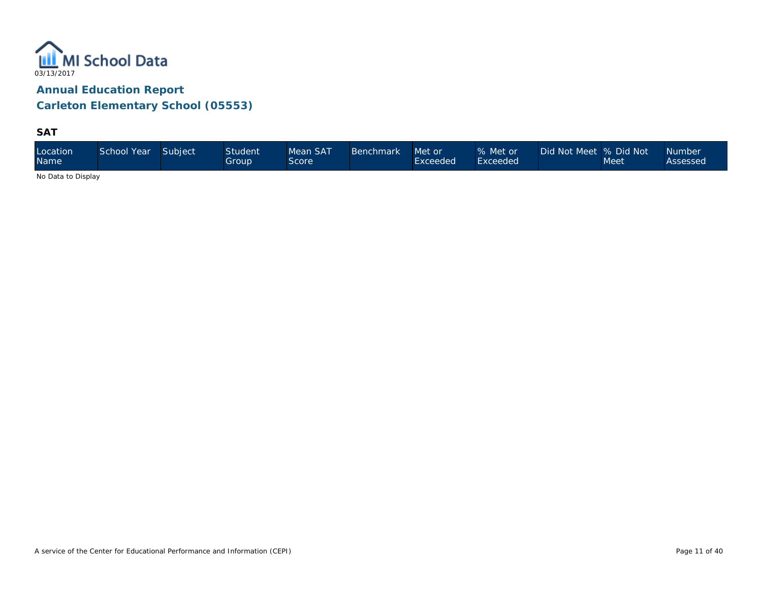

**SAT**

| Location<br><b>Name</b> | School Year | Subject | <b>Student</b><br>Group | Mean SAT<br>Score | <b>Benchmark</b> | Met or<br>Exceeded | % Met or<br>Exceeded <sup>1</sup> | Did Not Meet 9% Did Not \ | Meet | <b>Number</b><br>Assessed |
|-------------------------|-------------|---------|-------------------------|-------------------|------------------|--------------------|-----------------------------------|---------------------------|------|---------------------------|
|-------------------------|-------------|---------|-------------------------|-------------------|------------------|--------------------|-----------------------------------|---------------------------|------|---------------------------|

No Data to Display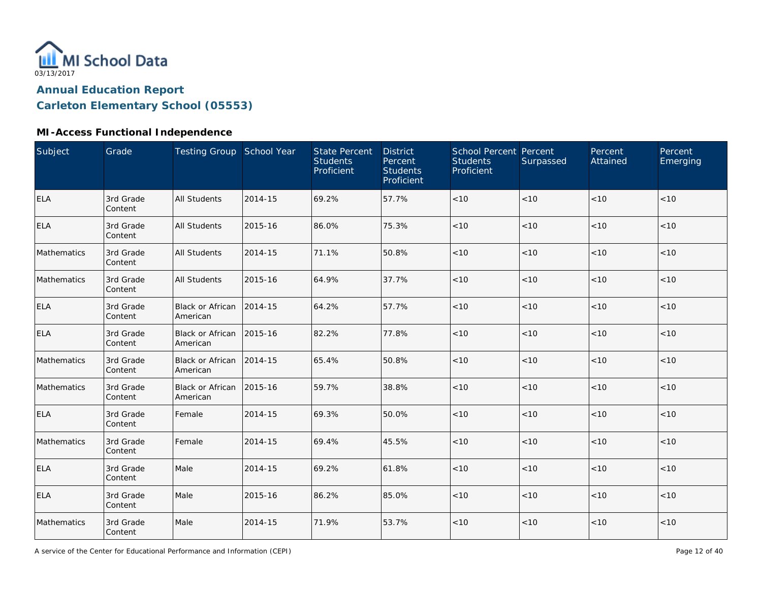

### **MI-Access Functional Independence**

| Subject     | Grade                | Testing Group School Year           |         | <b>State Percent</b><br><b>Students</b><br>Proficient | <b>District</b><br>Percent<br><b>Students</b><br>Proficient | School Percent Percent<br><b>Students</b><br><b>Proficient</b> | Surpassed | Percent<br>Attained | Percent<br>Emerging |
|-------------|----------------------|-------------------------------------|---------|-------------------------------------------------------|-------------------------------------------------------------|----------------------------------------------------------------|-----------|---------------------|---------------------|
| <b>ELA</b>  | 3rd Grade<br>Content | <b>All Students</b>                 | 2014-15 | 69.2%                                                 | 57.7%                                                       | < 10                                                           | < 10      | < 10                | < 10                |
| <b>ELA</b>  | 3rd Grade<br>Content | <b>All Students</b>                 | 2015-16 | 86.0%                                                 | 75.3%                                                       | $<10$                                                          | $<10$     | $<10$               | < 10                |
| Mathematics | 3rd Grade<br>Content | <b>All Students</b>                 | 2014-15 | 71.1%                                                 | 50.8%                                                       | < 10                                                           | < 10      | < 10                | < 10                |
| Mathematics | 3rd Grade<br>Content | <b>All Students</b>                 | 2015-16 | 64.9%                                                 | 37.7%                                                       | < 10                                                           | < 10      | < 10                | $<10$               |
| ELA         | 3rd Grade<br>Content | Black or African<br>American        | 2014-15 | 64.2%                                                 | 57.7%                                                       | < 10                                                           | < 10      | < 10                | < 10                |
| <b>ELA</b>  | 3rd Grade<br>Content | <b>Black or African</b><br>American | 2015-16 | 82.2%                                                 | 77.8%                                                       | $<10$                                                          | < 10      | < 10                | < 10                |
| Mathematics | 3rd Grade<br>Content | Black or African<br>American        | 2014-15 | 65.4%                                                 | 50.8%                                                       | $<10$                                                          | < 10      | < 10                | < 10                |
| Mathematics | 3rd Grade<br>Content | Black or African<br>American        | 2015-16 | 59.7%                                                 | 38.8%                                                       | $<10$                                                          | $<10$     | $<10$               | $<10$               |
| <b>ELA</b>  | 3rd Grade<br>Content | Female                              | 2014-15 | 69.3%                                                 | 50.0%                                                       | $<10$                                                          | $<10$     | $<10$               | $<10$               |
| Mathematics | 3rd Grade<br>Content | Female                              | 2014-15 | 69.4%                                                 | 45.5%                                                       | < 10                                                           | < 10      | < 10                | < 10                |
| <b>ELA</b>  | 3rd Grade<br>Content | Male                                | 2014-15 | 69.2%                                                 | 61.8%                                                       | < 10                                                           | < 10      | < 10                | < 10                |
| <b>ELA</b>  | 3rd Grade<br>Content | Male                                | 2015-16 | 86.2%                                                 | 85.0%                                                       | < 10                                                           | < 10      | < 10                | < 10                |
| Mathematics | 3rd Grade<br>Content | Male                                | 2014-15 | 71.9%                                                 | 53.7%                                                       | $<10$                                                          | $<10$     | $<10$               | $<10$               |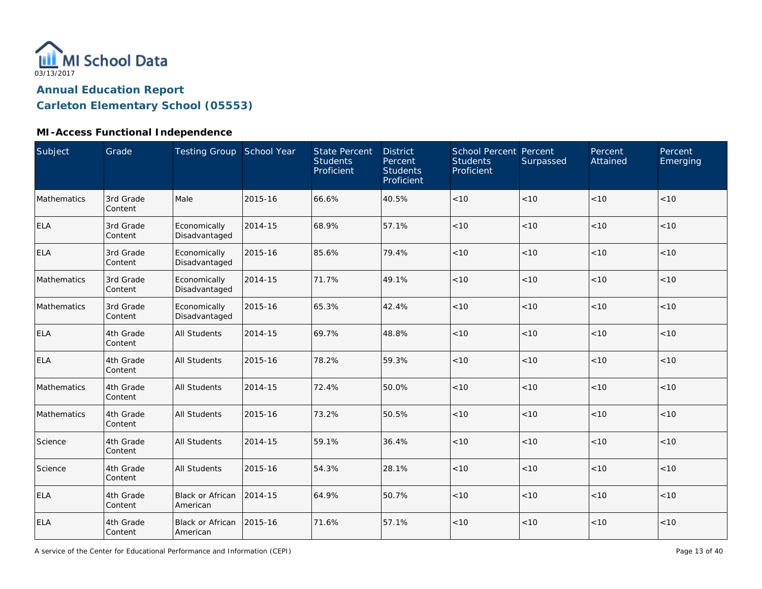

#### **MI-Access Functional Independence**

| Subject     | Grade                | Testing Group School Year           |         | <b>State Percent</b><br><b>Students</b><br>Proficient | <b>District</b><br>Percent<br><b>Students</b><br>Proficient | School Percent Percent<br><b>Students</b><br>Proficient | Surpassed | Percent<br>Attained | Percent<br>Emerging |
|-------------|----------------------|-------------------------------------|---------|-------------------------------------------------------|-------------------------------------------------------------|---------------------------------------------------------|-----------|---------------------|---------------------|
| Mathematics | 3rd Grade<br>Content | Male                                | 2015-16 | 66.6%                                                 | 40.5%                                                       | < 10                                                    | < 10      | < 10                | < 10                |
| <b>ELA</b>  | 3rd Grade<br>Content | Economically<br>Disadvantaged       | 2014-15 | 68.9%                                                 | 57.1%                                                       | < 10                                                    | < 10      | < 10                | < 10                |
| <b>ELA</b>  | 3rd Grade<br>Content | Economically<br>Disadvantaged       | 2015-16 | 85.6%                                                 | 79.4%                                                       | < 10                                                    | < 10      | < 10                | < 10                |
| Mathematics | 3rd Grade<br>Content | Economically<br>Disadvantaged       | 2014-15 | 71.7%                                                 | 49.1%                                                       | < 10                                                    | < 10      | < 10                | < 10                |
| Mathematics | 3rd Grade<br>Content | Economically<br>Disadvantaged       | 2015-16 | 65.3%                                                 | 42.4%                                                       | < 10                                                    | < 10      | < 10                | < 10                |
| <b>ELA</b>  | 4th Grade<br>Content | <b>All Students</b>                 | 2014-15 | 69.7%                                                 | 48.8%                                                       | $<10$                                                   | < 10      | < 10                | < 10                |
| <b>ELA</b>  | 4th Grade<br>Content | <b>All Students</b>                 | 2015-16 | 78.2%                                                 | 59.3%                                                       | < 10                                                    | < 10      | < 10                | < 10                |
| Mathematics | 4th Grade<br>Content | <b>All Students</b>                 | 2014-15 | 72.4%                                                 | 50.0%                                                       | < 10                                                    | < 10      | < 10                | < 10                |
| Mathematics | 4th Grade<br>Content | <b>All Students</b>                 | 2015-16 | 73.2%                                                 | 50.5%                                                       | $<10$                                                   | < 10      | < 10                | < 10                |
| Science     | 4th Grade<br>Content | <b>All Students</b>                 | 2014-15 | 59.1%                                                 | 36.4%                                                       | $<10$                                                   | < 10      | < 10                | < 10                |
| Science     | 4th Grade<br>Content | <b>All Students</b>                 | 2015-16 | 54.3%                                                 | 28.1%                                                       | $<10$                                                   | < 10      | < 10                | < 10                |
| <b>ELA</b>  | 4th Grade<br>Content | <b>Black or African</b><br>American | 2014-15 | 64.9%                                                 | 50.7%                                                       | < 10                                                    | < 10      | < 10                | < 10                |
| <b>ELA</b>  | 4th Grade<br>Content | <b>Black or African</b><br>American | 2015-16 | 71.6%                                                 | 57.1%                                                       | < 10                                                    | < 10      | < 10                | < 10                |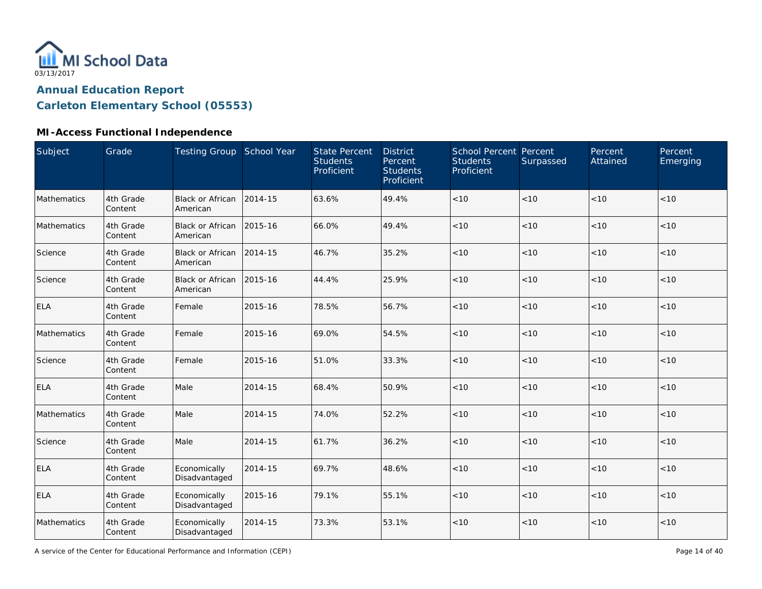

### **MI-Access Functional Independence**

| Subject     | Grade                | Testing Group School Year            |         | <b>State Percent</b><br><b>Students</b><br>Proficient | <b>District</b><br>Percent<br><b>Students</b><br>Proficient | School Percent Percent<br><b>Students</b><br>Proficient | Surpassed | Percent<br>Attained | Percent<br>Emerging |
|-------------|----------------------|--------------------------------------|---------|-------------------------------------------------------|-------------------------------------------------------------|---------------------------------------------------------|-----------|---------------------|---------------------|
| Mathematics | 4th Grade<br>Content | <b>Black or African</b><br>American  | 2014-15 | 63.6%                                                 | 49.4%                                                       | $<10$                                                   | < 10      | < 10                | < 10                |
| Mathematics | 4th Grade<br>Content | Black or African 2015-16<br>American |         | 66.0%                                                 | 49.4%                                                       | < 10                                                    | < 10      | < 10                | < 10                |
| Science     | 4th Grade<br>Content | <b>Black or African</b><br>American  | 2014-15 | 46.7%                                                 | 35.2%                                                       | < 10                                                    | < 10      | < 10                | < 10                |
| Science     | 4th Grade<br>Content | Black or African<br>American         | 2015-16 | 44.4%                                                 | 25.9%                                                       | < 10                                                    | < 10      | <10                 | $<10$               |
| <b>ELA</b>  | 4th Grade<br>Content | Female                               | 2015-16 | 78.5%                                                 | 56.7%                                                       | < 10                                                    | < 10      | < 10                | < 10                |
| Mathematics | 4th Grade<br>Content | Female                               | 2015-16 | 69.0%                                                 | 54.5%                                                       | < 10                                                    | < 10      | < 10                | < 10                |
| Science     | 4th Grade<br>Content | Female                               | 2015-16 | 51.0%                                                 | 33.3%                                                       | < 10                                                    | < 10      | < 10                | < 10                |
| <b>ELA</b>  | 4th Grade<br>Content | Male                                 | 2014-15 | 68.4%                                                 | 50.9%                                                       | $<10$                                                   | < 10      | < 10                | < 10                |
| Mathematics | 4th Grade<br>Content | Male                                 | 2014-15 | 74.0%                                                 | 52.2%                                                       | $<10$                                                   | < 10      | < 10                | < 10                |
| Science     | 4th Grade<br>Content | Male                                 | 2014-15 | 61.7%                                                 | 36.2%                                                       | $<10$                                                   | < 10      | < 10                | < 10                |
| <b>ELA</b>  | 4th Grade<br>Content | Economically<br>Disadvantaged        | 2014-15 | 69.7%                                                 | 48.6%                                                       | < 10                                                    | < 10      | < 10                | < 10                |
| <b>ELA</b>  | 4th Grade<br>Content | Economically<br>Disadvantaged        | 2015-16 | 79.1%                                                 | 55.1%                                                       | < 10                                                    | < 10      | < 10                | < 10                |
| Mathematics | 4th Grade<br>Content | Economically<br>Disadvantaged        | 2014-15 | 73.3%                                                 | 53.1%                                                       | < 10                                                    | $<10$     | < 10                | < 10                |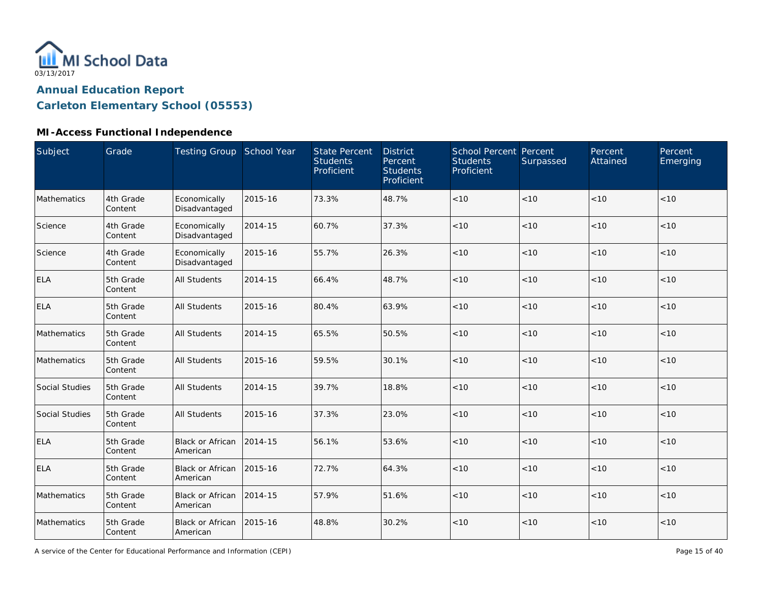

#### **MI-Access Functional Independence**

| Subject        | Grade                | Testing Group School Year            |         | <b>State Percent</b><br><b>Students</b><br>Proficient | <b>District</b><br>Percent<br><b>Students</b><br>Proficient | <b>School Percent Percent</b><br><b>Students</b><br>Proficient | Surpassed | Percent<br>Attained | Percent<br>Emerging |
|----------------|----------------------|--------------------------------------|---------|-------------------------------------------------------|-------------------------------------------------------------|----------------------------------------------------------------|-----------|---------------------|---------------------|
| Mathematics    | 4th Grade<br>Content | Economically<br>Disadvantaged        | 2015-16 | 73.3%                                                 | 48.7%                                                       | $<10$                                                          | < 10      | < 10                | < 10                |
| Science        | 4th Grade<br>Content | Economically<br>Disadvantaged        | 2014-15 | 60.7%                                                 | 37.3%                                                       | < 10                                                           | < 10      | < 10                | < 10                |
| Science        | 4th Grade<br>Content | Economically<br>Disadvantaged        | 2015-16 | 55.7%                                                 | 26.3%                                                       | < 10                                                           | < 10      | < 10                | < 10                |
| <b>ELA</b>     | 5th Grade<br>Content | <b>All Students</b>                  | 2014-15 | 66.4%                                                 | 48.7%                                                       | < 10                                                           | < 10      | < 10                | < 10                |
| <b>ELA</b>     | 5th Grade<br>Content | All Students                         | 2015-16 | 80.4%                                                 | 63.9%                                                       | < 10                                                           | < 10      | < 10                | < 10                |
| Mathematics    | 5th Grade<br>Content | <b>All Students</b>                  | 2014-15 | 65.5%                                                 | 50.5%                                                       | < 10                                                           | < 10      | < 10                | < 10                |
| Mathematics    | 5th Grade<br>Content | <b>All Students</b>                  | 2015-16 | 59.5%                                                 | 30.1%                                                       | < 10                                                           | < 10      | < 10                | < 10                |
| Social Studies | 5th Grade<br>Content | <b>All Students</b>                  | 2014-15 | 39.7%                                                 | 18.8%                                                       | < 10                                                           | < 10      | < 10                | < 10                |
| Social Studies | 5th Grade<br>Content | <b>All Students</b>                  | 2015-16 | 37.3%                                                 | 23.0%                                                       | < 10                                                           | < 10      | < 10                | < 10                |
| <b>ELA</b>     | 5th Grade<br>Content | Black or African<br>American         | 2014-15 | 56.1%                                                 | 53.6%                                                       | $<10$                                                          | < 10      | < 10                | < 10                |
| <b>ELA</b>     | 5th Grade<br>Content | Black or African<br>American         | 2015-16 | 72.7%                                                 | 64.3%                                                       | < 10                                                           | < 10      | < 10                | < 10                |
| Mathematics    | 5th Grade<br>Content | Black or African<br>American         | 2014-15 | 57.9%                                                 | 51.6%                                                       | < 10                                                           | < 10      | < 10                | < 10                |
| Mathematics    | 5th Grade<br>Content | Black or African 2015-16<br>American |         | 48.8%                                                 | 30.2%                                                       | < 10                                                           | < 10      | < 10                | < 10                |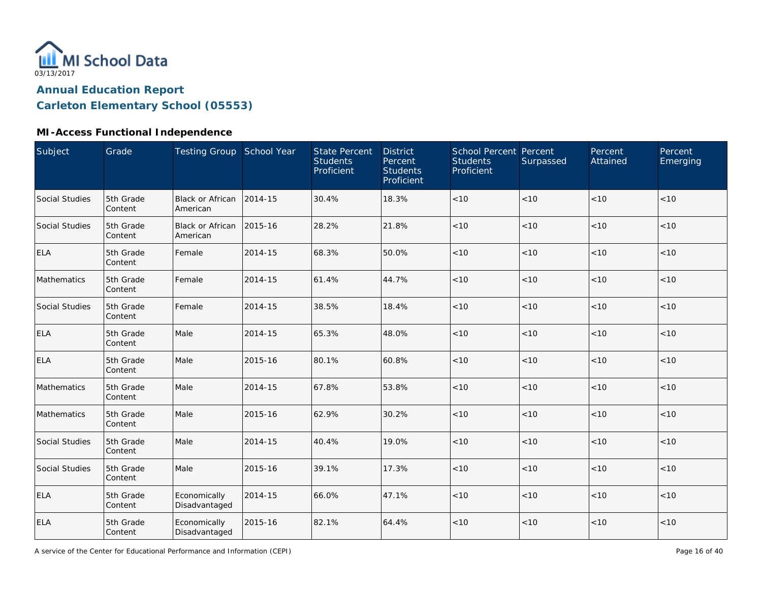

#### **MI-Access Functional Independence**

| Subject               | Grade                | Testing Group School Year     |         | <b>State Percent</b><br><b>Students</b><br>Proficient | <b>District</b><br>Percent<br><b>Students</b><br>Proficient | School Percent Percent<br><b>Students</b><br>Proficient | Surpassed | Percent<br>Attained | Percent<br>Emerging |
|-----------------------|----------------------|-------------------------------|---------|-------------------------------------------------------|-------------------------------------------------------------|---------------------------------------------------------|-----------|---------------------|---------------------|
| Social Studies        | 5th Grade<br>Content | Black or African<br>American  | 2014-15 | 30.4%                                                 | 18.3%                                                       | $<10$                                                   | < 10      | < 10                | < 10                |
| Social Studies        | 5th Grade<br>Content | Black or African<br>American  | 2015-16 | 28.2%                                                 | 21.8%                                                       | < 10                                                    | < 10      | < 10                | < 10                |
| <b>ELA</b>            | 5th Grade<br>Content | Female                        | 2014-15 | 68.3%                                                 | 50.0%                                                       | < 10                                                    | < 10      | < 10                | < 10                |
| Mathematics           | 5th Grade<br>Content | Female                        | 2014-15 | 61.4%                                                 | 44.7%                                                       | $<10$                                                   | < 10      | < 10                | < 10                |
| <b>Social Studies</b> | 5th Grade<br>Content | Female                        | 2014-15 | 38.5%                                                 | 18.4%                                                       | $<10$                                                   | < 10      | < 10                | < 10                |
| <b>ELA</b>            | 5th Grade<br>Content | Male                          | 2014-15 | 65.3%                                                 | 48.0%                                                       | $<10$                                                   | < 10      | < 10                | < 10                |
| <b>ELA</b>            | 5th Grade<br>Content | Male                          | 2015-16 | 80.1%                                                 | 60.8%                                                       | < 10                                                    | < 10      | < 10                | < 10                |
| Mathematics           | 5th Grade<br>Content | Male                          | 2014-15 | 67.8%                                                 | 53.8%                                                       | < 10                                                    | < 10      | < 10                | < 10                |
| Mathematics           | 5th Grade<br>Content | Male                          | 2015-16 | 62.9%                                                 | 30.2%                                                       | $<10$                                                   | < 10      | < 10                | < 10                |
| Social Studies        | 5th Grade<br>Content | Male                          | 2014-15 | 40.4%                                                 | 19.0%                                                       | $<10$                                                   | < 10      | < 10                | < 10                |
| Social Studies        | 5th Grade<br>Content | Male                          | 2015-16 | 39.1%                                                 | 17.3%                                                       | $<10$                                                   | < 10      | < 10                | < 10                |
| <b>ELA</b>            | 5th Grade<br>Content | Economically<br>Disadvantaged | 2014-15 | 66.0%                                                 | 47.1%                                                       | $<10$                                                   | < 10      | < 10                | < 10                |
| <b>ELA</b>            | 5th Grade<br>Content | Economically<br>Disadvantaged | 2015-16 | 82.1%                                                 | 64.4%                                                       | $<10$                                                   | < 10      | < 10                | < 10                |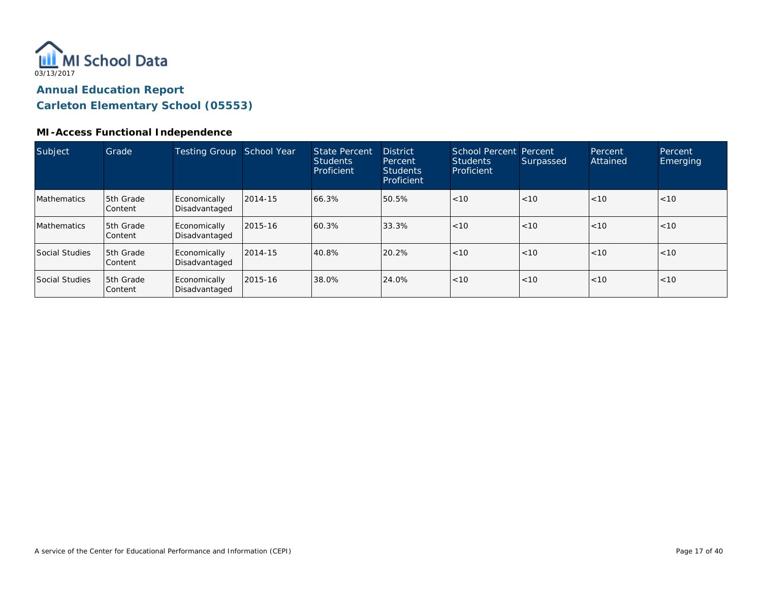

#### **MI-Access Functional Independence**

| Subject               | Grade                       | Testing Group                 | School Year | State Percent<br><b>Students</b><br>Proficient | <b>District</b><br>Percent<br><b>Students</b><br>Proficient | <b>School Percent Percent</b><br><b>Students</b><br>Proficient | Surpassed | Percent<br>Attained | Percent<br>Emerging |
|-----------------------|-----------------------------|-------------------------------|-------------|------------------------------------------------|-------------------------------------------------------------|----------------------------------------------------------------|-----------|---------------------|---------------------|
| <b>Mathematics</b>    | <b>5th Grade</b><br>Content | Economically<br>Disadvantaged | 2014-15     | 66.3%                                          | 50.5%                                                       | <10                                                            | <10       | < 10                | <10                 |
| <b>Mathematics</b>    | 5th Grade<br>Content        | Economically<br>Disadvantaged | 2015-16     | 60.3%                                          | 33.3%                                                       | <10                                                            | < 10      | < 10                | <10                 |
| <b>Social Studies</b> | 5th Grade<br>Content        | Economically<br>Disadvantaged | 2014-15     | 40.8%                                          | 20.2%                                                       | <10                                                            | < 10      | < 10                | <10                 |
| Social Studies        | 5th Grade<br>l Content      | Economically<br>Disadvantaged | 2015-16     | 38.0%                                          | 24.0%                                                       | < 10                                                           | < 10      | < 10                | <10                 |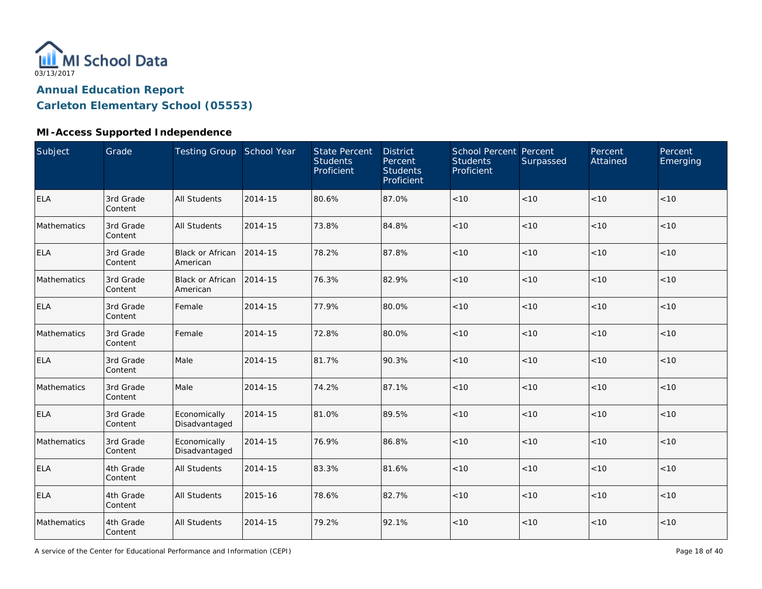

### **MI-Access Supported Independence**

| <b>Subject</b> | Grade                | <b>Testing Group School Year</b>    |         | <b>State Percent</b><br><b>Students</b><br>Proficient | <b>District</b><br>Percent<br><b>Students</b><br>Proficient | School Percent Percent<br><b>Students</b><br>Proficient | Surpassed | Percent<br>Attained | Percent<br>Emerging |
|----------------|----------------------|-------------------------------------|---------|-------------------------------------------------------|-------------------------------------------------------------|---------------------------------------------------------|-----------|---------------------|---------------------|
| <b>ELA</b>     | 3rd Grade<br>Content | <b>All Students</b>                 | 2014-15 | 80.6%                                                 | 87.0%                                                       | < 10                                                    | < 10      | < 10                | < 10                |
| Mathematics    | 3rd Grade<br>Content | <b>All Students</b>                 | 2014-15 | 73.8%                                                 | 84.8%                                                       | < 10                                                    | < 10      | < 10                | < 10                |
| <b>ELA</b>     | 3rd Grade<br>Content | <b>Black or African</b><br>American | 2014-15 | 78.2%                                                 | 87.8%                                                       | < 10                                                    | < 10      | < 10                | < 10                |
| Mathematics    | 3rd Grade<br>Content | <b>Black or African</b><br>American | 2014-15 | 76.3%                                                 | 82.9%                                                       | < 10                                                    | < 10      | < 10                | < 10                |
| <b>ELA</b>     | 3rd Grade<br>Content | Female                              | 2014-15 | 77.9%                                                 | 80.0%                                                       | < 10                                                    | < 10      | < 10                | < 10                |
| Mathematics    | 3rd Grade<br>Content | Female                              | 2014-15 | 72.8%                                                 | 80.0%                                                       | < 10                                                    | < 10      | < 10                | $<10$               |
| <b>ELA</b>     | 3rd Grade<br>Content | Male                                | 2014-15 | 81.7%                                                 | 90.3%                                                       | < 10                                                    | < 10      | < 10                | < 10                |
| Mathematics    | 3rd Grade<br>Content | Male                                | 2014-15 | 74.2%                                                 | 87.1%                                                       | < 10                                                    | < 10      | < 10                | < 10                |
| <b>ELA</b>     | 3rd Grade<br>Content | Economically<br>Disadvantaged       | 2014-15 | 81.0%                                                 | 89.5%                                                       | $<10$                                                   | < 10      | < 10                | $<10$               |
| Mathematics    | 3rd Grade<br>Content | Economically<br>Disadvantaged       | 2014-15 | 76.9%                                                 | 86.8%                                                       | $<10$                                                   | < 10      | < 10                | < 10                |
| <b>ELA</b>     | 4th Grade<br>Content | <b>All Students</b>                 | 2014-15 | 83.3%                                                 | 81.6%                                                       | $<10$                                                   | < 10      | < 10                | $<10$               |
| <b>ELA</b>     | 4th Grade<br>Content | <b>All Students</b>                 | 2015-16 | 78.6%                                                 | 82.7%                                                       | $<10$                                                   | < 10      | < 10                | < 10                |
| Mathematics    | 4th Grade<br>Content | <b>All Students</b>                 | 2014-15 | 79.2%                                                 | 92.1%                                                       | $<10$                                                   | <10       | < 10                | $<10$               |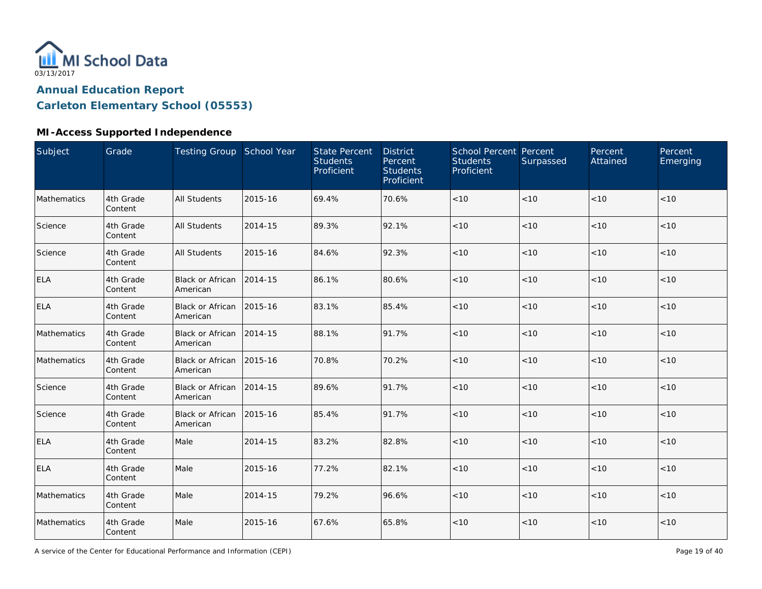

### **MI-Access Supported Independence**

| Subject     | Grade                | Testing Group School Year           |         | <b>State Percent</b><br><b>Students</b><br>Proficient | <b>District</b><br>Percent<br><b>Students</b><br>Proficient | <b>School Percent Percent</b><br><b>Students</b><br>Proficient | Surpassed | Percent<br>Attained | Percent<br>Emerging |
|-------------|----------------------|-------------------------------------|---------|-------------------------------------------------------|-------------------------------------------------------------|----------------------------------------------------------------|-----------|---------------------|---------------------|
| Mathematics | 4th Grade<br>Content | <b>All Students</b>                 | 2015-16 | 69.4%                                                 | 70.6%                                                       | $<10$                                                          | < 10      | < 10                | < 10                |
| Science     | 4th Grade<br>Content | <b>All Students</b>                 | 2014-15 | 89.3%                                                 | 92.1%                                                       | < 10                                                           | < 10      | < 10                | < 10                |
| Science     | 4th Grade<br>Content | <b>All Students</b>                 | 2015-16 | 84.6%                                                 | 92.3%                                                       | < 10                                                           | < 10      | < 10                | < 10                |
| <b>ELA</b>  | 4th Grade<br>Content | <b>Black or African</b><br>American | 2014-15 | 86.1%                                                 | 80.6%                                                       | < 10                                                           | < 10      | < 10                | $<10$               |
| <b>ELA</b>  | 4th Grade<br>Content | Black or African<br>American        | 2015-16 | 83.1%                                                 | 85.4%                                                       | < 10                                                           | < 10      | < 10                | < 10                |
| Mathematics | 4th Grade<br>Content | Black or African<br>American        | 2014-15 | 88.1%                                                 | 91.7%                                                       | < 10                                                           | < 10      | < 10                | < 10                |
| Mathematics | 4th Grade<br>Content | <b>Black or African</b><br>American | 2015-16 | 70.8%                                                 | 70.2%                                                       | < 10                                                           | < 10      | < 10                | < 10                |
| Science     | 4th Grade<br>Content | Black or African<br>American        | 2014-15 | 89.6%                                                 | 91.7%                                                       | < 10                                                           | < 10      | < 10                | < 10                |
| Science     | 4th Grade<br>Content | <b>Black or African</b><br>American | 2015-16 | 85.4%                                                 | 91.7%                                                       | < 10                                                           | < 10      | < 10                | $<10$               |
| <b>ELA</b>  | 4th Grade<br>Content | Male                                | 2014-15 | 83.2%                                                 | 82.8%                                                       | < 10                                                           | < 10      | < 10                | < 10                |
| <b>ELA</b>  | 4th Grade<br>Content | Male                                | 2015-16 | 77.2%                                                 | 82.1%                                                       | < 10                                                           | < 10      | < 10                | < 10                |
| Mathematics | 4th Grade<br>Content | Male                                | 2014-15 | 79.2%                                                 | 96.6%                                                       | < 10                                                           | < 10      | < 10                | < 10                |
| Mathematics | 4th Grade<br>Content | Male                                | 2015-16 | 67.6%                                                 | 65.8%                                                       | < 10                                                           | < 10      | < 10                | $<10$               |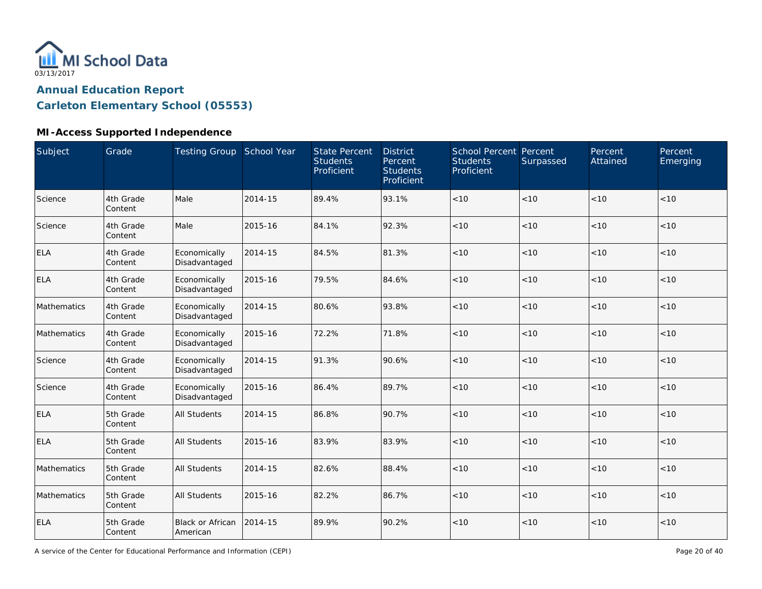

#### **MI-Access Supported Independence**

| Subject     | Grade                | Testing Group School Year     |         | <b>State Percent</b><br><b>Students</b><br>Proficient | <b>District</b><br>Percent<br><b>Students</b><br>Proficient | School Percent Percent<br><b>Students</b><br>Proficient | Surpassed | Percent<br>Attained | Percent<br>Emerging |
|-------------|----------------------|-------------------------------|---------|-------------------------------------------------------|-------------------------------------------------------------|---------------------------------------------------------|-----------|---------------------|---------------------|
| Science     | 4th Grade<br>Content | Male                          | 2014-15 | 89.4%                                                 | 93.1%                                                       | < 10                                                    | < 10      | < 10                | < 10                |
| Science     | 4th Grade<br>Content | Male                          | 2015-16 | 84.1%                                                 | 92.3%                                                       | < 10                                                    | < 10      | < 10                | < 10                |
| <b>ELA</b>  | 4th Grade<br>Content | Economically<br>Disadvantaged | 2014-15 | 84.5%                                                 | 81.3%                                                       | < 10                                                    | < 10      | < 10                | < 10                |
| <b>ELA</b>  | 4th Grade<br>Content | Economically<br>Disadvantaged | 2015-16 | 79.5%                                                 | 84.6%                                                       | < 10                                                    | < 10      | < 10                | < 10                |
| Mathematics | 4th Grade<br>Content | Economically<br>Disadvantaged | 2014-15 | 80.6%                                                 | 93.8%                                                       | < 10                                                    | < 10      | < 10                | < 10                |
| Mathematics | 4th Grade<br>Content | Economically<br>Disadvantaged | 2015-16 | 72.2%                                                 | 71.8%                                                       | $<10$                                                   | < 10      | < 10                | < 10                |
| Science     | 4th Grade<br>Content | Economically<br>Disadvantaged | 2014-15 | 91.3%                                                 | 90.6%                                                       | < 10                                                    | < 10      | < 10                | < 10                |
| Science     | 4th Grade<br>Content | Economically<br>Disadvantaged | 2015-16 | 86.4%                                                 | 89.7%                                                       | < 10                                                    | < 10      | < 10                | < 10                |
| <b>ELA</b>  | 5th Grade<br>Content | <b>All Students</b>           | 2014-15 | 86.8%                                                 | 90.7%                                                       | $<10$                                                   | < 10      | < 10                | < 10                |
| <b>ELA</b>  | 5th Grade<br>Content | <b>All Students</b>           | 2015-16 | 83.9%                                                 | 83.9%                                                       | < 10                                                    | < 10      | < 10                | < 10                |
| Mathematics | 5th Grade<br>Content | <b>All Students</b>           | 2014-15 | 82.6%                                                 | 88.4%                                                       | $<10$                                                   | < 10      | < 10                | < 10                |
| Mathematics | 5th Grade<br>Content | <b>All Students</b>           | 2015-16 | 82.2%                                                 | 86.7%                                                       | < 10                                                    | < 10      | < 10                | < 10                |
| <b>ELA</b>  | 5th Grade<br>Content | Black or African<br>American  | 2014-15 | 89.9%                                                 | 90.2%                                                       | $<10$                                                   | < 10      | < 10                | < 10                |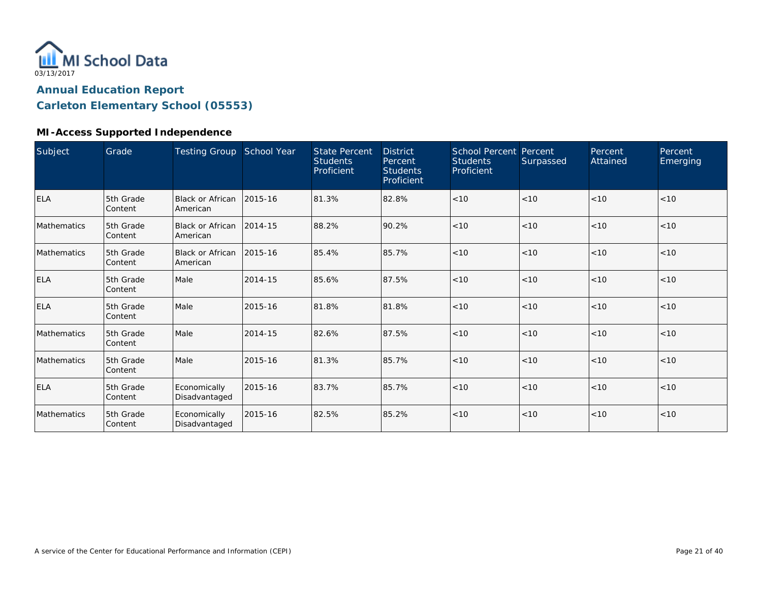

#### **MI-Access Supported Independence**

| Subject     | Grade                | <b>Testing Group</b>                | School Year | <b>State Percent</b><br><b>Students</b><br>Proficient | <b>District</b><br>Percent<br><b>Students</b><br>Proficient | <b>School Percent Percent</b><br><b>Students</b><br>Proficient | Surpassed | Percent<br>Attained | Percent<br>Emerging |
|-------------|----------------------|-------------------------------------|-------------|-------------------------------------------------------|-------------------------------------------------------------|----------------------------------------------------------------|-----------|---------------------|---------------------|
| <b>ELA</b>  | 5th Grade<br>Content | Black or African<br><b>American</b> | 2015-16     | 81.3%                                                 | 82.8%                                                       | < 10                                                           | < 10      | < 10                | < 10                |
| Mathematics | 5th Grade<br>Content | Black or African<br>American        | 2014-15     | 88.2%                                                 | 90.2%                                                       | < 10                                                           | < 10      | < 10                | < 10                |
| Mathematics | 5th Grade<br>Content | Black or African<br>American        | 2015-16     | 85.4%                                                 | 85.7%                                                       | < 10                                                           | < 10      | < 10                | < 10                |
| <b>ELA</b>  | 5th Grade<br>Content | Male                                | 2014-15     | 85.6%                                                 | 87.5%                                                       | < 10                                                           | < 10      | < 10                | < 10                |
| <b>ELA</b>  | 5th Grade<br>Content | Male                                | 2015-16     | 81.8%                                                 | 81.8%                                                       | < 10                                                           | < 10      | < 10                | < 10                |
| Mathematics | 5th Grade<br>Content | Male                                | 2014-15     | 82.6%                                                 | 87.5%                                                       | < 10                                                           | < 10      | < 10                | < 10                |
| Mathematics | 5th Grade<br>Content | Male                                | 2015-16     | 81.3%                                                 | 85.7%                                                       | < 10                                                           | < 10      | < 10                | < 10                |
| <b>ELA</b>  | 5th Grade<br>Content | Economically<br>Disadvantaged       | 2015-16     | 83.7%                                                 | 85.7%                                                       | < 10                                                           | < 10      | < 10                | < 10                |
| Mathematics | 5th Grade<br>Content | Economically<br>Disadvantaged       | 2015-16     | 82.5%                                                 | 85.2%                                                       | < 10                                                           | < 10      | < 10                | < 10                |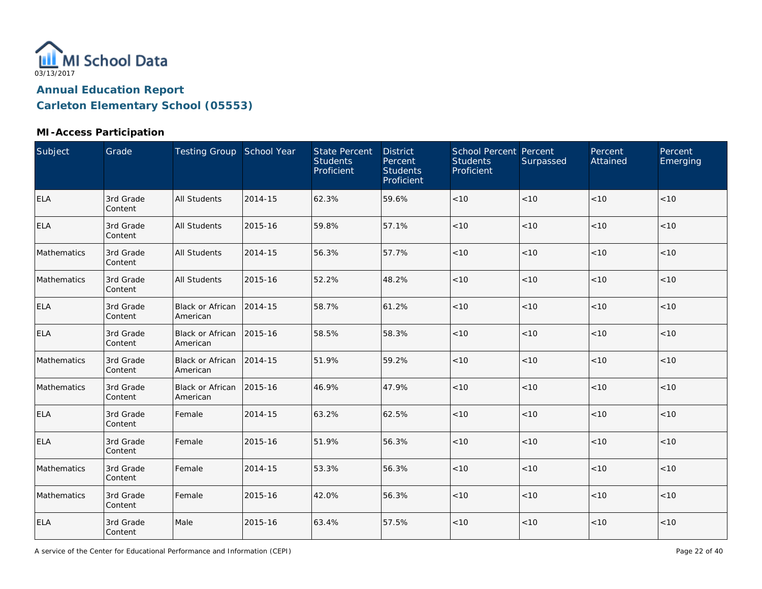

### **MI-Access Participation**

| Subject     | Grade                | Testing Group School Year           |         | <b>State Percent</b><br><b>Students</b><br>Proficient | <b>District</b><br>Percent<br><b>Students</b><br>Proficient | School Percent Percent<br><b>Students</b><br>Proficient | Surpassed | Percent<br>Attained | Percent<br>Emerging |
|-------------|----------------------|-------------------------------------|---------|-------------------------------------------------------|-------------------------------------------------------------|---------------------------------------------------------|-----------|---------------------|---------------------|
| <b>ELA</b>  | 3rd Grade<br>Content | <b>All Students</b>                 | 2014-15 | 62.3%                                                 | 59.6%                                                       | $<10$                                                   | < 10      | < 10                | < 10                |
| <b>ELA</b>  | 3rd Grade<br>Content | <b>All Students</b>                 | 2015-16 | 59.8%                                                 | 57.1%                                                       | $<10$                                                   | < 10      | < 10                | < 10                |
| Mathematics | 3rd Grade<br>Content | <b>All Students</b>                 | 2014-15 | 56.3%                                                 | 57.7%                                                       | < 10                                                    | < 10      | < 10                | < 10                |
| Mathematics | 3rd Grade<br>Content | <b>All Students</b>                 | 2015-16 | 52.2%                                                 | 48.2%                                                       | < 10                                                    | < 10      | < 10                | < 10                |
| <b>ELA</b>  | 3rd Grade<br>Content | Black or African<br>American        | 2014-15 | 58.7%                                                 | 61.2%                                                       | $<10$                                                   | $<10$     | < 10                | $<10$               |
| <b>ELA</b>  | 3rd Grade<br>Content | Black or African<br>American        | 2015-16 | 58.5%                                                 | 58.3%                                                       | $<10$                                                   | < 10      | < 10                | < 10                |
| Mathematics | 3rd Grade<br>Content | <b>Black or African</b><br>American | 2014-15 | 51.9%                                                 | 59.2%                                                       | $<10$                                                   | < 10      | < 10                | < 10                |
| Mathematics | 3rd Grade<br>Content | <b>Black or African</b><br>American | 2015-16 | 46.9%                                                 | 47.9%                                                       | < 10                                                    | < 10      | < 10                | < 10                |
| ELA         | 3rd Grade<br>Content | Female                              | 2014-15 | 63.2%                                                 | 62.5%                                                       | $<10$                                                   | < 10      | < 10                | < 10                |
| <b>ELA</b>  | 3rd Grade<br>Content | Female                              | 2015-16 | 51.9%                                                 | 56.3%                                                       | $<10$                                                   | < 10      | < 10                | < 10                |
| Mathematics | 3rd Grade<br>Content | Female                              | 2014-15 | 53.3%                                                 | 56.3%                                                       | $<10$                                                   | < 10      | < 10                | < 10                |
| Mathematics | 3rd Grade<br>Content | Female                              | 2015-16 | 42.0%                                                 | 56.3%                                                       | $<10$                                                   | < 10      | < 10                | < 10                |
| <b>ELA</b>  | 3rd Grade<br>Content | Male                                | 2015-16 | 63.4%                                                 | 57.5%                                                       | < 10                                                    | < 10      | < 10                | < 10                |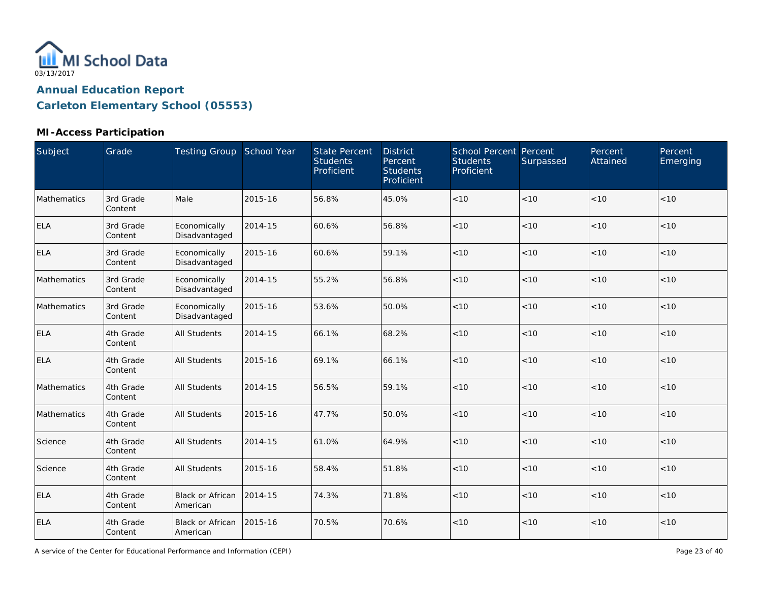

#### **MI-Access Participation**

| Subject     | Grade                | Testing Group School Year     |         | <b>State Percent</b><br><b>Students</b><br>Proficient | <b>District</b><br>Percent<br><b>Students</b><br>Proficient | School Percent Percent<br><b>Students</b><br>Proficient | Surpassed | Percent<br>Attained | Percent<br>Emerging |
|-------------|----------------------|-------------------------------|---------|-------------------------------------------------------|-------------------------------------------------------------|---------------------------------------------------------|-----------|---------------------|---------------------|
| Mathematics | 3rd Grade<br>Content | Male                          | 2015-16 | 56.8%                                                 | 45.0%                                                       | < 10                                                    | < 10      | < 10                | < 10                |
| <b>ELA</b>  | 3rd Grade<br>Content | Economically<br>Disadvantaged | 2014-15 | 60.6%                                                 | 56.8%                                                       | < 10                                                    | < 10      | < 10                | < 10                |
| <b>ELA</b>  | 3rd Grade<br>Content | Economically<br>Disadvantaged | 2015-16 | 60.6%                                                 | 59.1%                                                       | < 10                                                    | < 10      | < 10                | < 10                |
| Mathematics | 3rd Grade<br>Content | Economically<br>Disadvantaged | 2014-15 | 55.2%                                                 | 56.8%                                                       | < 10                                                    | < 10      | < 10                | < 10                |
| Mathematics | 3rd Grade<br>Content | Economically<br>Disadvantaged | 2015-16 | 53.6%                                                 | 50.0%                                                       | < 10                                                    | < 10      | < 10                | $<10$               |
| <b>ELA</b>  | 4th Grade<br>Content | <b>All Students</b>           | 2014-15 | 66.1%                                                 | 68.2%                                                       | < 10                                                    | < 10      | < 10                | < 10                |
| <b>ELA</b>  | 4th Grade<br>Content | <b>All Students</b>           | 2015-16 | 69.1%                                                 | 66.1%                                                       | < 10                                                    | < 10      | < 10                | < 10                |
| Mathematics | 4th Grade<br>Content | <b>All Students</b>           | 2014-15 | 56.5%                                                 | 59.1%                                                       | < 10                                                    | < 10      | < 10                | < 10                |
| Mathematics | 4th Grade<br>Content | <b>All Students</b>           | 2015-16 | 47.7%                                                 | 50.0%                                                       | < 10                                                    | < 10      | < 10                | < 10                |
| Science     | 4th Grade<br>Content | <b>All Students</b>           | 2014-15 | 61.0%                                                 | 64.9%                                                       | $<10$                                                   | < 10      | < 10                | < 10                |
| Science     | 4th Grade<br>Content | <b>All Students</b>           | 2015-16 | 58.4%                                                 | 51.8%                                                       | < 10                                                    | < 10      | < 10                | < 10                |
| <b>ELA</b>  | 4th Grade<br>Content | Black or African<br>American  | 2014-15 | 74.3%                                                 | 71.8%                                                       | $<10$                                                   | < 10      | < 10                | < 10                |
| <b>ELA</b>  | 4th Grade<br>Content | Black or African<br>American  | 2015-16 | 70.5%                                                 | 70.6%                                                       | $<10$                                                   | < 10      | < 10                | < 10                |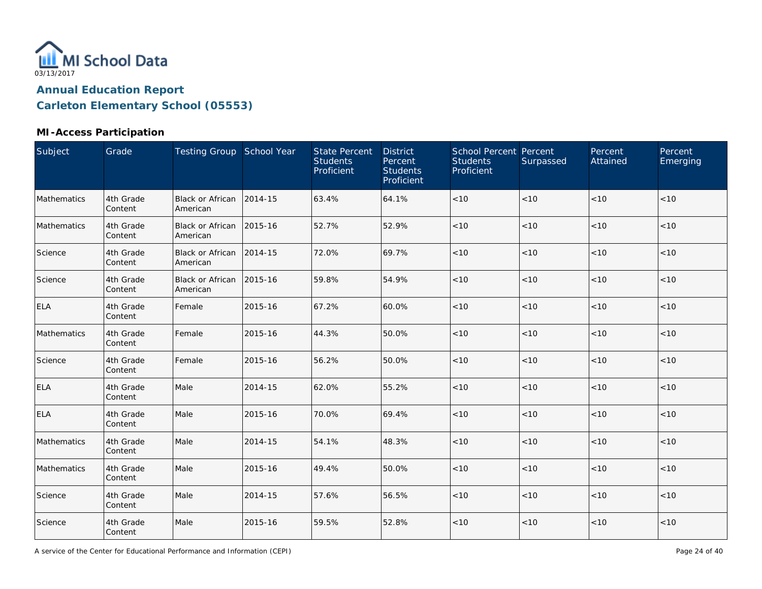

#### **MI-Access Participation**

| Subject     | Grade                | Testing Group School Year            |         | <b>State Percent</b><br><b>Students</b><br>Proficient | <b>District</b><br>Percent<br><b>Students</b><br>Proficient | School Percent Percent<br><b>Students</b><br>Proficient | Surpassed | Percent<br>Attained | Percent<br>Emerging |
|-------------|----------------------|--------------------------------------|---------|-------------------------------------------------------|-------------------------------------------------------------|---------------------------------------------------------|-----------|---------------------|---------------------|
| Mathematics | 4th Grade<br>Content | <b>Black or African</b><br>American  | 2014-15 | 63.4%                                                 | 64.1%                                                       | $<10$                                                   | < 10      | < 10                | < 10                |
| Mathematics | 4th Grade<br>Content | Black or African 2015-16<br>American |         | 52.7%                                                 | 52.9%                                                       | $<10$                                                   | < 10      | < 10                | < 10                |
| Science     | 4th Grade<br>Content | Black or African<br>American         | 2014-15 | 72.0%                                                 | 69.7%                                                       | $<10$                                                   | $<10$     | < 10                | < 10                |
| Science     | 4th Grade<br>Content | Black or African 2015-16<br>American |         | 59.8%                                                 | 54.9%                                                       | < 10                                                    | < 10      | < 10                | $<10$               |
| <b>ELA</b>  | 4th Grade<br>Content | Female                               | 2015-16 | 67.2%                                                 | 60.0%                                                       | < 10                                                    | < 10      | < 10                | < 10                |
| Mathematics | 4th Grade<br>Content | Female                               | 2015-16 | 44.3%                                                 | 50.0%                                                       | < 10                                                    | < 10      | < 10                | < 10                |
| Science     | 4th Grade<br>Content | Female                               | 2015-16 | 56.2%                                                 | 50.0%                                                       | < 10                                                    | $<10$     | < 10                | < 10                |
| <b>ELA</b>  | 4th Grade<br>Content | Male                                 | 2014-15 | 62.0%                                                 | 55.2%                                                       | < 10                                                    | < 10      | < 10                | < 10                |
| <b>ELA</b>  | 4th Grade<br>Content | Male                                 | 2015-16 | 70.0%                                                 | 69.4%                                                       | $<10$                                                   | $<10$     | < 10                | $<10$               |
| Mathematics | 4th Grade<br>Content | Male                                 | 2014-15 | 54.1%                                                 | 48.3%                                                       | < 10                                                    | < 10      | < 10                | < 10                |
| Mathematics | 4th Grade<br>Content | Male                                 | 2015-16 | 49.4%                                                 | 50.0%                                                       | $<10$                                                   | < 10      | < 10                | < 10                |
| Science     | 4th Grade<br>Content | Male                                 | 2014-15 | 57.6%                                                 | 56.5%                                                       | $<10$                                                   | < 10      | < 10                | < 10                |
| Science     | 4th Grade<br>Content | Male                                 | 2015-16 | 59.5%                                                 | 52.8%                                                       | < 10                                                    | < 10      | < 10                | < 10                |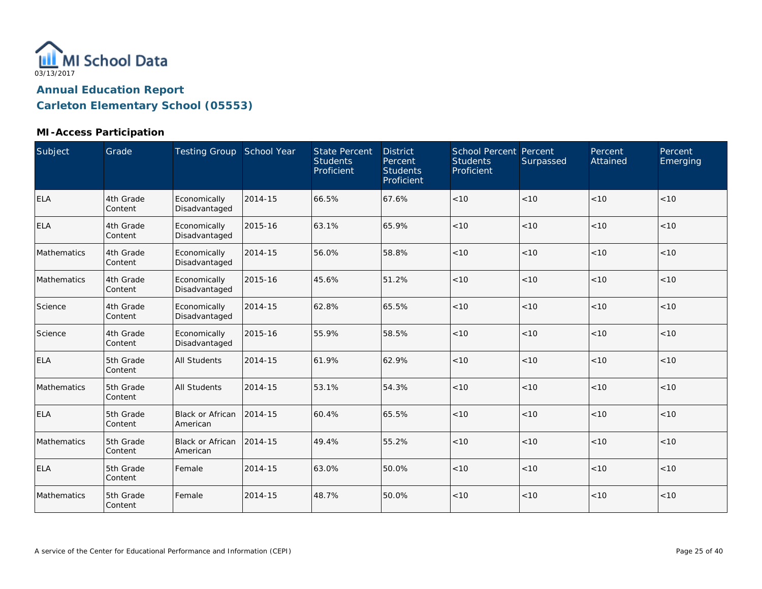

#### **MI-Access Participation**

| Subject     | Grade                | Testing Group School Year     |         | <b>State Percent</b><br><b>Students</b><br>Proficient | <b>District</b><br>Percent<br><b>Students</b><br>Proficient | School Percent Percent<br><b>Students</b><br>Proficient | Surpassed | Percent<br>Attained | Percent<br>Emerging |
|-------------|----------------------|-------------------------------|---------|-------------------------------------------------------|-------------------------------------------------------------|---------------------------------------------------------|-----------|---------------------|---------------------|
| <b>ELA</b>  | 4th Grade<br>Content | Economically<br>Disadvantaged | 2014-15 | 66.5%                                                 | 67.6%                                                       | < 10                                                    | < 10      | <10                 | < 10                |
| <b>ELA</b>  | 4th Grade<br>Content | Economically<br>Disadvantaged | 2015-16 | 63.1%                                                 | 65.9%                                                       | < 10                                                    | < 10      | <10                 | < 10                |
| Mathematics | 4th Grade<br>Content | Economically<br>Disadvantaged | 2014-15 | 56.0%                                                 | 58.8%                                                       | < 10                                                    | < 10      | < 10                | < 10                |
| Mathematics | 4th Grade<br>Content | Economically<br>Disadvantaged | 2015-16 | 45.6%                                                 | 51.2%                                                       | < 10                                                    | < 10      | < 10                | < 10                |
| Science     | 4th Grade<br>Content | Economically<br>Disadvantaged | 2014-15 | 62.8%                                                 | 65.5%                                                       | < 10                                                    | < 10      | < 10                | < 10                |
| Science     | 4th Grade<br>Content | Economically<br>Disadvantaged | 2015-16 | 55.9%                                                 | 58.5%                                                       | $<10$                                                   | < 10      | < 10                | < 10                |
| <b>ELA</b>  | 5th Grade<br>Content | <b>All Students</b>           | 2014-15 | 61.9%                                                 | 62.9%                                                       | < 10                                                    | < 10      | < 10                | < 10                |
| Mathematics | 5th Grade<br>Content | <b>All Students</b>           | 2014-15 | 53.1%                                                 | 54.3%                                                       | $<10$                                                   | < 10      | < 10                | < 10                |
| <b>ELA</b>  | 5th Grade<br>Content | Black or African<br>American  | 2014-15 | 60.4%                                                 | 65.5%                                                       | < 10                                                    | <10       | < 10                | < 10                |
| Mathematics | 5th Grade<br>Content | Black or African<br>American  | 2014-15 | 49.4%                                                 | 55.2%                                                       | $<10$                                                   | < 10      | < 10                | < 10                |
| <b>ELA</b>  | 5th Grade<br>Content | Female                        | 2014-15 | 63.0%                                                 | 50.0%                                                       | < 10                                                    | <10       | < 10                | < 10                |
| Mathematics | 5th Grade<br>Content | Female                        | 2014-15 | 48.7%                                                 | 50.0%                                                       | < 10                                                    | < 10      | < 10                | < 10                |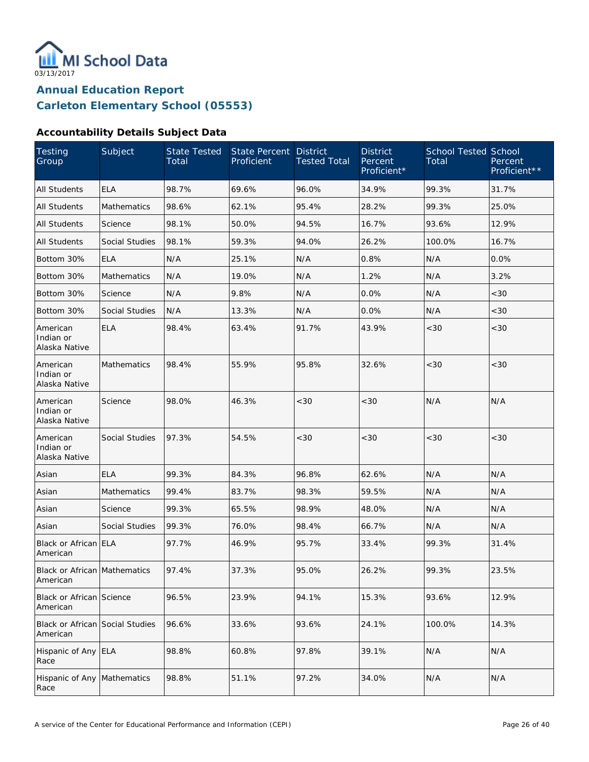

#### **Accountability Details Subject Data**

| Testing<br>Group                            | Subject               | State Tested<br>Total | State Percent<br>Proficient | <b>District</b><br><b>Tested Total</b> | <b>District</b><br>Percent<br>Proficient* | <b>School Tested School</b><br>Total | Percent<br>Proficient** |
|---------------------------------------------|-----------------------|-----------------------|-----------------------------|----------------------------------------|-------------------------------------------|--------------------------------------|-------------------------|
| <b>All Students</b>                         | <b>ELA</b>            | 98.7%                 | 69.6%                       | 96.0%                                  | 34.9%                                     | 99.3%                                | 31.7%                   |
| <b>All Students</b>                         | Mathematics           | 98.6%                 | 62.1%                       | 95.4%                                  | 28.2%                                     | 99.3%                                | 25.0%                   |
| <b>All Students</b>                         | Science               | 98.1%                 | 50.0%                       | 94.5%                                  | 16.7%                                     | 93.6%                                | 12.9%                   |
| All Students                                | Social Studies        | 98.1%                 | 59.3%                       | 94.0%                                  | 26.2%                                     | 100.0%                               | 16.7%                   |
| Bottom 30%                                  | <b>ELA</b>            | N/A                   | 25.1%                       | N/A                                    | 0.8%                                      | N/A                                  | 0.0%                    |
| Bottom 30%                                  | Mathematics           | N/A                   | 19.0%                       | N/A                                    | 1.2%                                      | N/A                                  | 3.2%                    |
| Bottom 30%                                  | Science               | N/A                   | 9.8%                        | N/A                                    | 0.0%                                      | N/A                                  | <30                     |
| Bottom 30%                                  | Social Studies        | N/A                   | 13.3%                       | N/A                                    | 0.0%                                      | N/A                                  | <30                     |
| American<br>Indian or<br>Alaska Native      | <b>ELA</b>            | 98.4%                 | 63.4%                       | 91.7%                                  | 43.9%                                     | <30                                  | <30                     |
| American<br>Indian or<br>Alaska Native      | <b>Mathematics</b>    | 98.4%                 | 55.9%                       | 95.8%                                  | 32.6%                                     | <30                                  | <30                     |
| American<br>Indian or<br>Alaska Native      | Science               | 98.0%                 | 46.3%                       | < 30                                   | <30                                       | N/A                                  | N/A                     |
| American<br>Indian or<br>Alaska Native      | Social Studies        | 97.3%                 | 54.5%                       | <30                                    | <30                                       | < 30                                 | <30                     |
| Asian                                       | <b>ELA</b>            | 99.3%                 | 84.3%                       | 96.8%                                  | 62.6%                                     | N/A                                  | N/A                     |
| Asian                                       | <b>Mathematics</b>    | 99.4%                 | 83.7%                       | 98.3%                                  | 59.5%                                     | N/A                                  | N/A                     |
| Asian                                       | Science               | 99.3%                 | 65.5%                       | 98.9%                                  | 48.0%                                     | N/A                                  | N/A                     |
| Asian                                       | <b>Social Studies</b> | 99.3%                 | 76.0%                       | 98.4%                                  | 66.7%                                     | N/A                                  | N/A                     |
| Black or African ELA<br>American            |                       | 97.7%                 | 46.9%                       | 95.7%                                  | 33.4%                                     | 99.3%                                | 31.4%                   |
| Black or African Mathematics<br>American    |                       | 97.4%                 | 37.3%                       | 95.0%                                  | 26.2%                                     | 99.3%                                | 23.5%                   |
| Black or African Science<br>American        |                       | 96.5%                 | 23.9%                       | 94.1%                                  | 15.3%                                     | 93.6%                                | 12.9%                   |
| Black or African Social Studies<br>American |                       | 96.6%                 | 33.6%                       | 93.6%                                  | 24.1%                                     | 100.0%                               | 14.3%                   |
| Hispanic of Any ELA<br>Race                 |                       | 98.8%                 | 60.8%                       | 97.8%                                  | 39.1%                                     | N/A                                  | N/A                     |
| Hispanic of Any Mathematics<br>Race         |                       | 98.8%                 | 51.1%                       | 97.2%                                  | 34.0%                                     | N/A                                  | N/A                     |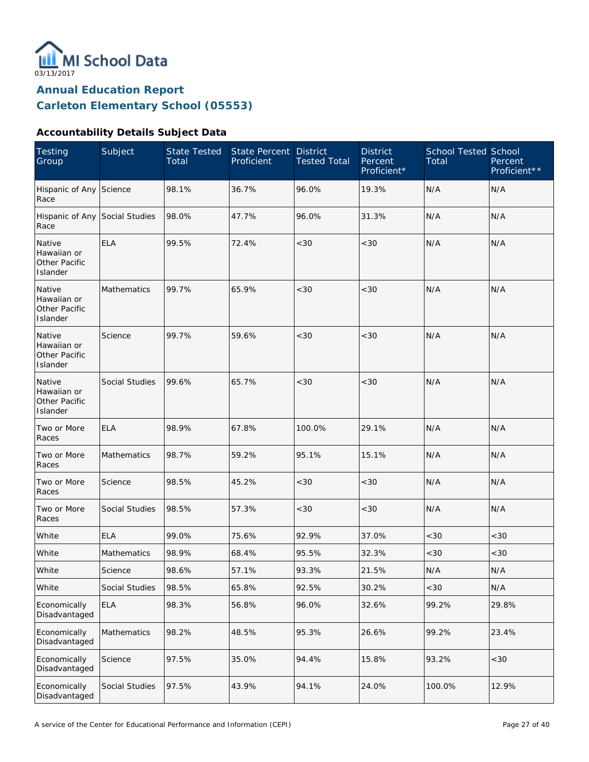

#### **Accountability Details Subject Data**

| <b>Testing</b><br>Group                            | Subject        | <b>State Tested</b><br>Total | State Percent<br>Proficient | <b>District</b><br><b>Tested Total</b> | <b>District</b><br>Percent<br>Proficient* | <b>School Tested School</b><br>Total | Percent<br>Proficient** |
|----------------------------------------------------|----------------|------------------------------|-----------------------------|----------------------------------------|-------------------------------------------|--------------------------------------|-------------------------|
| Hispanic of Any Science<br>Race                    |                | 98.1%                        | 36.7%                       | 96.0%                                  | 19.3%                                     | N/A                                  | N/A                     |
| Hispanic of Any Social Studies<br>Race             |                | 98.0%                        | 47.7%                       | 96.0%                                  | 31.3%                                     | N/A                                  | N/A                     |
| Native<br>Hawaiian or<br>Other Pacific<br>Islander | <b>ELA</b>     | 99.5%                        | 72.4%                       | <30                                    | <30                                       | N/A                                  | N/A                     |
| Native<br>Hawaiian or<br>Other Pacific<br>Islander | Mathematics    | 99.7%                        | 65.9%                       | < 30                                   | < 30                                      | N/A                                  | N/A                     |
| Native<br>Hawaiian or<br>Other Pacific<br>Islander | Science        | 99.7%                        | 59.6%                       | <30                                    | < 30                                      | N/A                                  | N/A                     |
| Native<br>Hawaiian or<br>Other Pacific<br>Islander | Social Studies | 99.6%                        | 65.7%                       | <30                                    | < 30                                      | N/A                                  | N/A                     |
| Two or More<br>Races                               | <b>ELA</b>     | 98.9%                        | 67.8%                       | 100.0%                                 | 29.1%                                     | N/A                                  | N/A                     |
| Two or More<br>Races                               | Mathematics    | 98.7%                        | 59.2%                       | 95.1%                                  | 15.1%                                     | N/A                                  | N/A                     |
| Two or More<br>Races                               | Science        | 98.5%                        | 45.2%                       | <30                                    | < 30                                      | N/A                                  | N/A                     |
| Two or More<br>Races                               | Social Studies | 98.5%                        | 57.3%                       | <30                                    | < 30                                      | N/A                                  | N/A                     |
| White                                              | <b>ELA</b>     | 99.0%                        | 75.6%                       | 92.9%                                  | 37.0%                                     | <30                                  | <30                     |
| White                                              | Mathematics    | 98.9%                        | 68.4%                       | 95.5%                                  | 32.3%                                     | <30                                  | $<30$                   |
| White                                              | Science        | 98.6%                        | 57.1%                       | 93.3%                                  | 21.5%                                     | N/A                                  | N/A                     |
| White                                              | Social Studies | 98.5%                        | 65.8%                       | 92.5%                                  | 30.2%                                     | <30                                  | N/A                     |
| Economically<br>Disadvantaged                      | <b>ELA</b>     | 98.3%                        | 56.8%                       | 96.0%                                  | 32.6%                                     | 99.2%                                | 29.8%                   |
| Economically<br>Disadvantaged                      | Mathematics    | 98.2%                        | 48.5%                       | 95.3%                                  | 26.6%                                     | 99.2%                                | 23.4%                   |
| Economically<br>Disadvantaged                      | Science        | 97.5%                        | 35.0%                       | 94.4%                                  | 15.8%                                     | 93.2%                                | <30                     |
| Economically<br>Disadvantaged                      | Social Studies | 97.5%                        | 43.9%                       | 94.1%                                  | 24.0%                                     | 100.0%                               | 12.9%                   |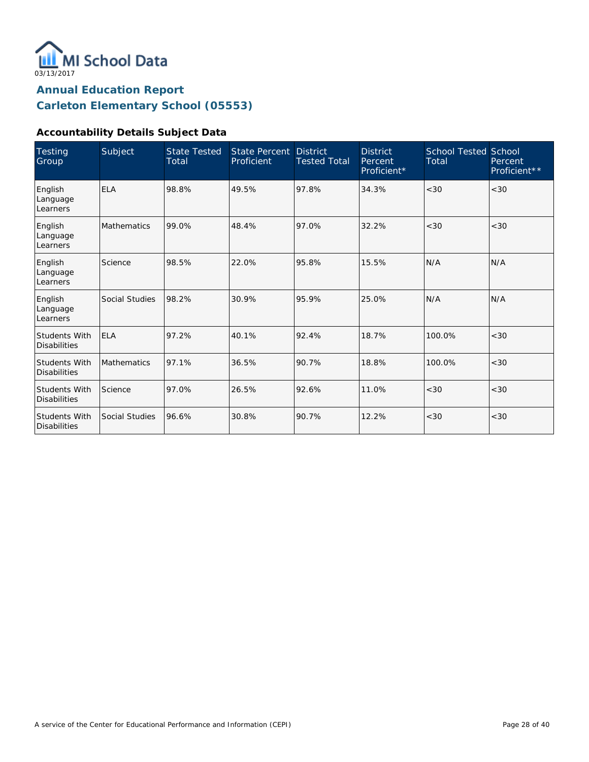

#### **Accountability Details Subject Data**

| <b>Testing</b><br>Group                     | Subject            | <b>State Tested</b><br>Total | State Percent<br>Proficient | <b>District</b><br><b>Tested Total</b> | <b>District</b><br>Percent<br>Proficient* | <b>School Tested School</b><br>Total | Percent<br>Proficient** |
|---------------------------------------------|--------------------|------------------------------|-----------------------------|----------------------------------------|-------------------------------------------|--------------------------------------|-------------------------|
| English<br>Language<br>Learners             | <b>ELA</b>         | 98.8%                        | 49.5%                       | 97.8%                                  | 34.3%                                     | < 30                                 | <30                     |
| English<br>Language<br>Learners             | <b>Mathematics</b> | 99.0%                        | 48.4%                       | 97.0%                                  | 32.2%                                     | < 30                                 | <30                     |
| English<br>Language<br>Learners             | Science            | 98.5%                        | 22.0%                       | 95.8%                                  | 15.5%                                     | N/A                                  | N/A                     |
| English<br>Language<br>Learners             | Social Studies     | 98.2%                        | 30.9%                       | 95.9%                                  | 25.0%                                     | N/A                                  | N/A                     |
| <b>Students With</b><br><b>Disabilities</b> | <b>ELA</b>         | 97.2%                        | 40.1%                       | 92.4%                                  | 18.7%                                     | 100.0%                               | < 30                    |
| <b>Students With</b><br><b>Disabilities</b> | <b>Mathematics</b> | 97.1%                        | 36.5%                       | 90.7%                                  | 18.8%                                     | 100.0%                               | <30                     |
| <b>Students With</b><br><b>Disabilities</b> | Science            | 97.0%                        | 26.5%                       | 92.6%                                  | 11.0%                                     | < 30                                 | <30                     |
| <b>Students With</b><br><b>Disabilities</b> | Social Studies     | 96.6%                        | 30.8%                       | 90.7%                                  | 12.2%                                     | < 30                                 | <30                     |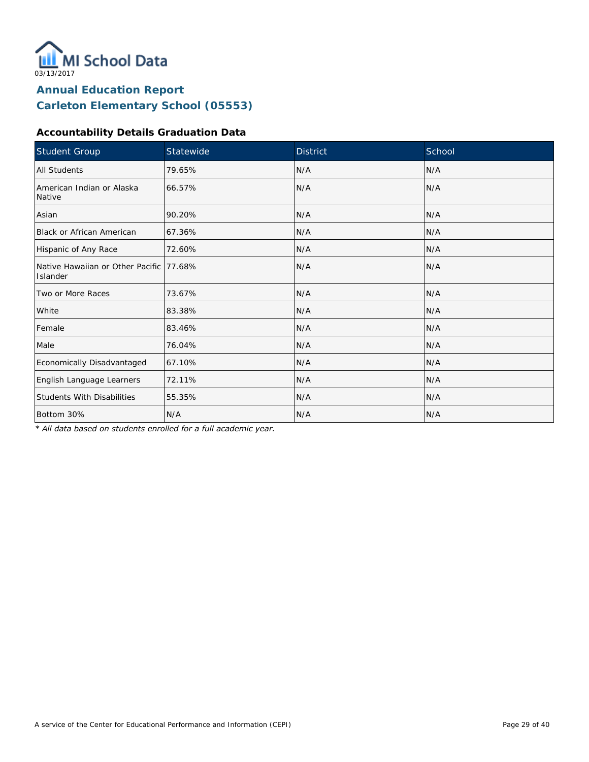

#### **Accountability Details Graduation Data**

| Student Group                                        | Statewide | <b>District</b> | School |
|------------------------------------------------------|-----------|-----------------|--------|
| All Students                                         | 79.65%    | N/A             | N/A    |
| American Indian or Alaska<br>Native                  | 66.57%    | N/A             | N/A    |
| Asian                                                | 90.20%    | N/A             | N/A    |
| Black or African American                            | 67.36%    | N/A             | N/A    |
| Hispanic of Any Race                                 | 72.60%    | N/A             | N/A    |
| Native Hawaiian or Other Pacific 177.68%<br>Islander |           | N/A             | N/A    |
| Two or More Races                                    | 73.67%    | N/A             | N/A    |
| White                                                | 83.38%    | N/A             | N/A    |
| Female                                               | 83.46%    | N/A             | N/A    |
| Male                                                 | 76.04%    | N/A             | N/A    |
| Economically Disadvantaged                           | 67.10%    | N/A             | N/A    |
| English Language Learners                            | 72.11%    | N/A             | N/A    |
| <b>Students With Disabilities</b>                    | 55.35%    | N/A             | N/A    |
| Bottom 30%                                           | N/A       | N/A             | N/A    |

*\* All data based on students enrolled for a full academic year.*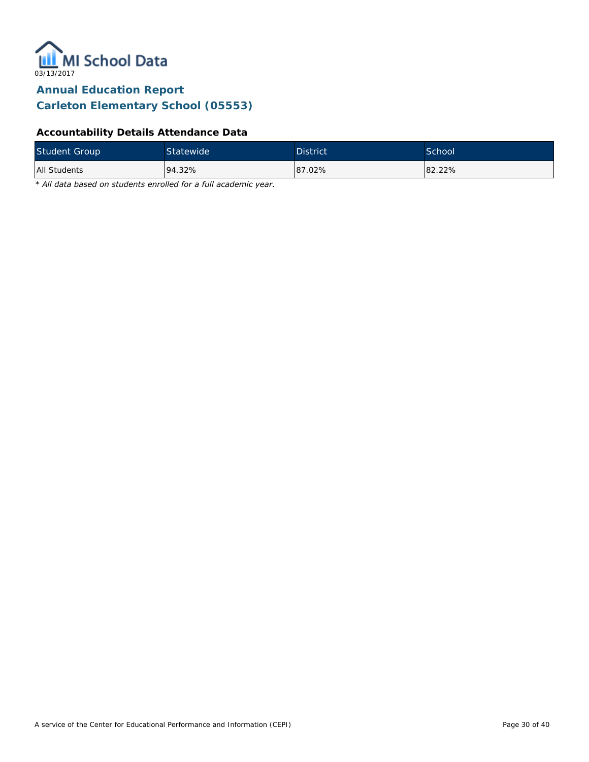

#### **Accountability Details Attendance Data**

| <b>Student Group</b> | Statewide, | <b>District</b> | School <sup>1</sup> |
|----------------------|------------|-----------------|---------------------|
| All Students         | 94.32%     | 87.02%          | 82.22%              |

*\* All data based on students enrolled for a full academic year.*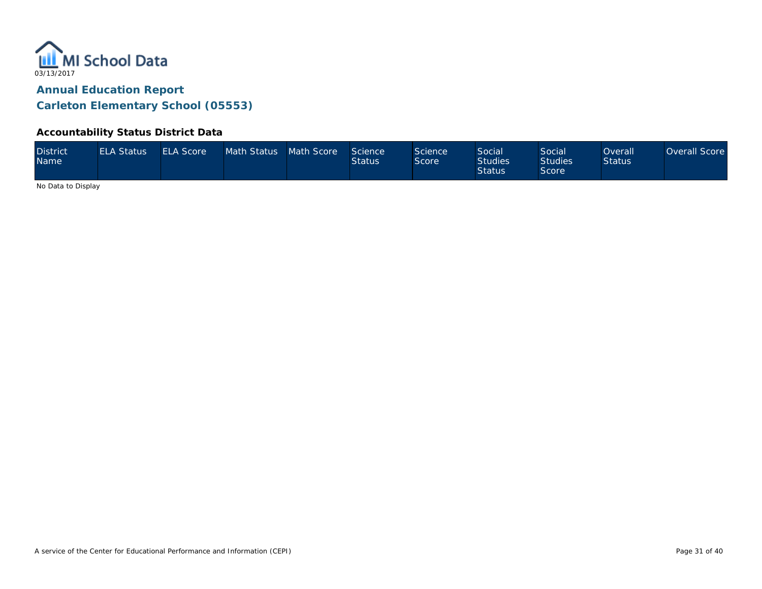

#### **Accountability Status District Data**

| <b>District</b><br><b>Name</b> | <b>ELA Status</b> | <b>ELA Score</b> | Math Status Math Score |  | Science<br><b>Status</b> | Science<br>Score | Social<br><b>Studies</b><br><b>Status</b> | Social<br><b>Studies</b><br><b>Score</b> | <b>Overall</b><br><b>Status</b> | Overall Score |
|--------------------------------|-------------------|------------------|------------------------|--|--------------------------|------------------|-------------------------------------------|------------------------------------------|---------------------------------|---------------|
|--------------------------------|-------------------|------------------|------------------------|--|--------------------------|------------------|-------------------------------------------|------------------------------------------|---------------------------------|---------------|

No Data to Display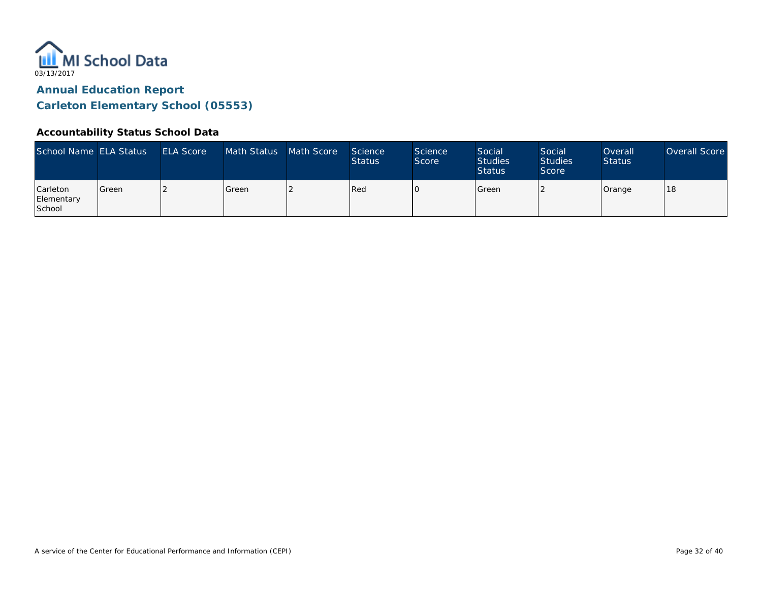

#### **Accountability Status School Data**

| School Name ELA Status                  |         | <b>ELA Score</b> | Math Status | Math Score | Science<br><b>Status</b> | <b>Science</b><br>Score | Social<br><b>Studies</b><br><b>Status</b> | Social<br><b>Studies</b><br>Score | Overall<br><b>Status</b> | Overall Score |
|-----------------------------------------|---------|------------------|-------------|------------|--------------------------|-------------------------|-------------------------------------------|-----------------------------------|--------------------------|---------------|
| <b>Carleton</b><br>Elementary<br>School | l Green |                  | Green       |            | Red                      |                         | Green                                     |                                   | Orange                   | 18            |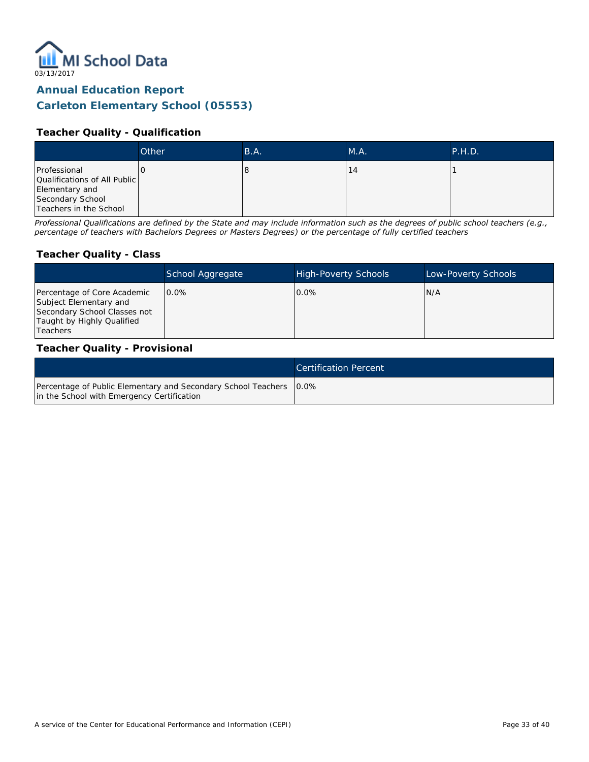

#### **Teacher Quality - Qualification**

|                                                                                                              | Other | B.A. | M.A. | P.H.D. |
|--------------------------------------------------------------------------------------------------------------|-------|------|------|--------|
| Professional<br>Qualifications of All Public<br>Elementary and<br>Secondary School<br>Teachers in the School |       | O    | - 4  |        |

*Professional Qualifications are defined by the State and may include information such as the degrees of public school teachers (e.g., percentage of teachers with Bachelors Degrees or Masters Degrees) or the percentage of fully certified teachers*

#### **Teacher Quality - Class**

|                                                                                                                                   | School Aggregate | <b>High-Poverty Schools</b> | Low-Poverty Schools |
|-----------------------------------------------------------------------------------------------------------------------------------|------------------|-----------------------------|---------------------|
| Percentage of Core Academic<br>Subject Elementary and<br>Secondary School Classes not<br>Taught by Highly Qualified<br>l Teachers | $0.0\%$          | $0.0\%$                     | IN/A                |

#### **Teacher Quality - Provisional**

|                                                                                                                    | <b>Certification Percent</b> |
|--------------------------------------------------------------------------------------------------------------------|------------------------------|
| Percentage of Public Elementary and Secondary School Teachers   0.0%<br>in the School with Emergency Certification |                              |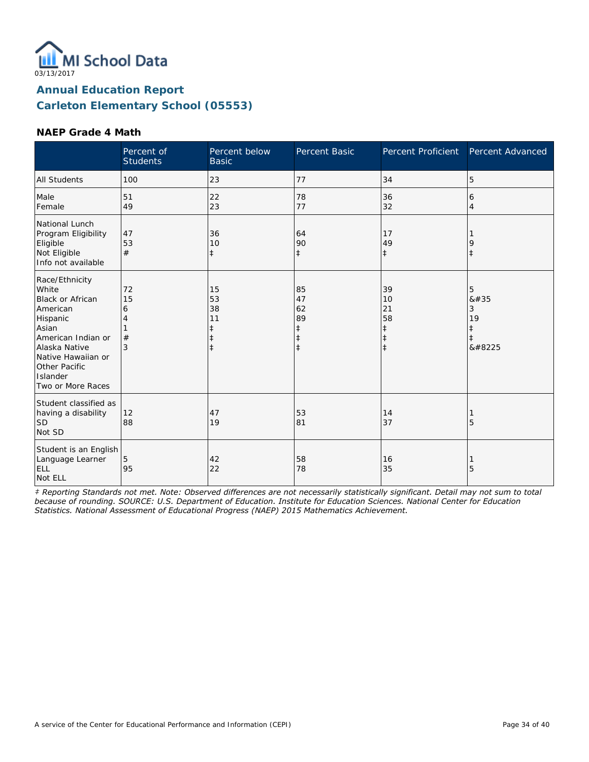

#### **NAEP Grade 4 Math**

|                                                                                                                                                                                                    | Percent of<br><b>Students</b> | Percent below<br><b>Basic</b>                         | <b>Percent Basic</b>                                  | Percent Proficient                                             | Percent Advanced                             |
|----------------------------------------------------------------------------------------------------------------------------------------------------------------------------------------------------|-------------------------------|-------------------------------------------------------|-------------------------------------------------------|----------------------------------------------------------------|----------------------------------------------|
| <b>All Students</b>                                                                                                                                                                                | 100                           | 23                                                    | 77                                                    | 34                                                             | 5                                            |
| Male<br>Female                                                                                                                                                                                     | 51<br>49                      | 22<br>23                                              | 78<br>77                                              | 36<br>32                                                       | 6<br>4                                       |
| National Lunch<br>Program Eligibility<br>Eligible<br>Not Eligible<br>Info not available                                                                                                            | 47<br>53<br>#                 | 36<br>10<br>$\ddagger$                                | 64<br>90<br>$\ddagger$                                | 17<br>49<br>$\ddagger$                                         | 9<br>$\ddagger$                              |
| Race/Ethnicity<br>White<br><b>Black or African</b><br>American<br>Hispanic<br>Asian<br>American Indian or<br>Alaska Native<br>Native Hawaiian or<br>Other Pacific<br>Islander<br>Two or More Races | 72<br>15<br>6<br>4<br>#<br>3  | 15<br>53<br>38<br>11<br>$\ddagger$<br>ŧ<br>$\ddagger$ | 85<br>47<br>62<br>89<br>ŧ<br>$\ddagger$<br>$\ddagger$ | 39<br>10<br>21<br>58<br>$\ddagger$<br>$\ddagger$<br>$\ddagger$ | 5<br>8#35<br>3<br>19<br>ŧ<br>$\ddagger$<br>‡ |
| Student classified as<br>having a disability<br><b>SD</b><br>Not SD                                                                                                                                | 12<br>88                      | 47<br>19                                              | 53<br>81                                              | 14<br>37                                                       | 5                                            |
| Student is an English<br>Language Learner<br>ELL<br>Not ELL                                                                                                                                        | 5<br>95                       | 42<br>22                                              | 58<br>78                                              | 16<br>35                                                       | 5                                            |

*‡ Reporting Standards not met. Note: Observed differences are not necessarily statistically significant. Detail may not sum to total because of rounding. SOURCE: U.S. Department of Education. Institute for Education Sciences. National Center for Education Statistics. National Assessment of Educational Progress (NAEP) 2015 Mathematics Achievement.*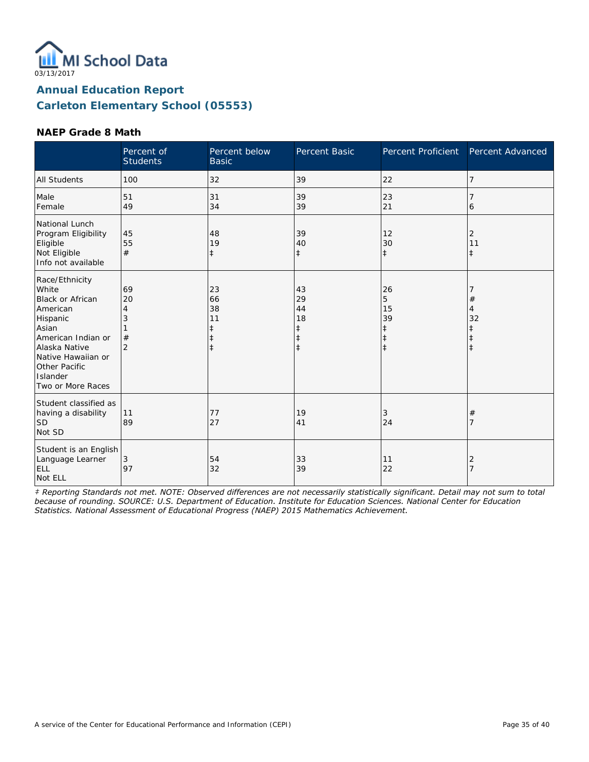

#### **NAEP Grade 8 Math**

|                                                                                                                                                                                                    | Percent of<br><b>Students</b>             | Percent below<br><b>Basic</b>                         | Percent Basic                                         | Percent Proficient                     | Percent Advanced               |
|----------------------------------------------------------------------------------------------------------------------------------------------------------------------------------------------------|-------------------------------------------|-------------------------------------------------------|-------------------------------------------------------|----------------------------------------|--------------------------------|
| <b>All Students</b>                                                                                                                                                                                | 100                                       | 32                                                    | 39                                                    | 22                                     | 7                              |
| Male<br>Female                                                                                                                                                                                     | 51<br>49                                  | 31<br>34                                              | 39<br>39                                              | 23<br>21                               | 6                              |
| National Lunch<br>Program Eligibility<br>Eligible<br>Not Eligible<br>Info not available                                                                                                            | 45<br>55<br>#                             | 48<br>19<br>$\ddagger$                                | 39<br>40<br>$\ddagger$                                | 12<br>30<br>$\ddagger$                 | 2<br>11<br>$\ddagger$          |
| Race/Ethnicity<br>White<br><b>Black or African</b><br>American<br>Hispanic<br>Asian<br>American Indian or<br>Alaska Native<br>Native Hawaiian or<br>Other Pacific<br>Islander<br>Two or More Races | 69<br>20<br>4<br>3<br>#<br>$\overline{2}$ | 23<br>66<br>38<br>11<br>ŧ<br>$\ddagger$<br>$\ddagger$ | 43<br>29<br>44<br>18<br>ŧ<br>$\ddagger$<br>$\ddagger$ | 26<br>5<br>15<br>39<br>ŧ<br>$\ddagger$ | #<br>$\overline{4}$<br>32<br>ŧ |
| Student classified as<br>having a disability<br><b>SD</b><br>Not SD                                                                                                                                | 11<br>89                                  | 77<br>27                                              | 19<br>41                                              | 3<br>24                                | $^{\#}$<br>7                   |
| Student is an English<br>Language Learner<br>ELL<br>Not ELL                                                                                                                                        | 3<br>97                                   | 54<br>32                                              | 33<br>39                                              | 11<br>22                               | 2<br>$\overline{7}$            |

*‡ Reporting Standards not met. NOTE: Observed differences are not necessarily statistically significant. Detail may not sum to total because of rounding. SOURCE: U.S. Department of Education. Institute for Education Sciences. National Center for Education Statistics. National Assessment of Educational Progress (NAEP) 2015 Mathematics Achievement.*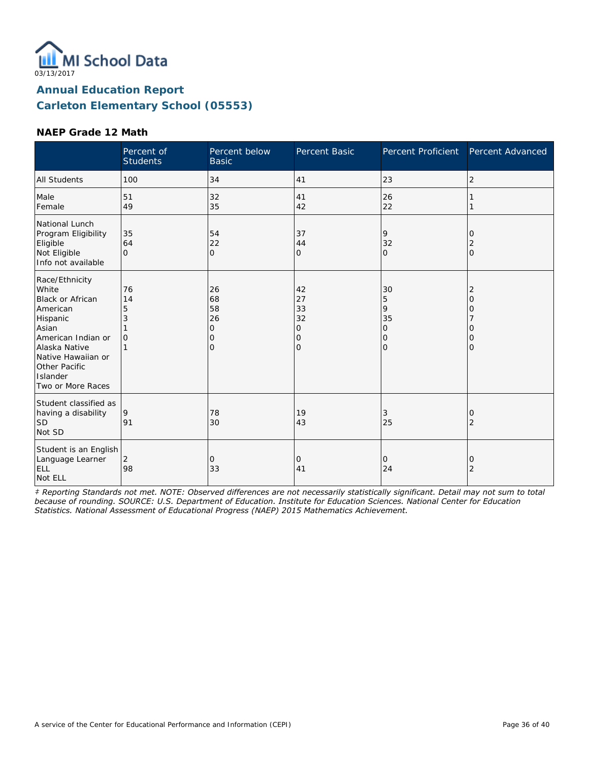

#### **NAEP Grade 12 Math**

|                                                                                                                                                                                                    | Percent of<br><b>Students</b>       | Percent below<br><b>Basic</b>                   | Percent Basic                                  | Percent Proficient                                              | Percent Advanced                               |
|----------------------------------------------------------------------------------------------------------------------------------------------------------------------------------------------------|-------------------------------------|-------------------------------------------------|------------------------------------------------|-----------------------------------------------------------------|------------------------------------------------|
| <b>All Students</b>                                                                                                                                                                                | 100                                 | 34                                              | 41                                             | 23                                                              | $\overline{2}$                                 |
| Male<br>Female                                                                                                                                                                                     | 51<br>49                            | 32<br>35                                        | 41<br>42                                       | 26<br>22                                                        |                                                |
| National Lunch<br>Program Eligibility<br>Eligible<br>Not Eligible<br>Info not available                                                                                                            | 35<br>64<br>$\Omega$                | 54<br>22<br>$\overline{O}$                      | 37<br>44<br>$\overline{O}$                     | 9<br>32<br>$\mathbf{O}$                                         | 0<br>2<br>$\mathbf{O}$                         |
| Race/Ethnicity<br>White<br><b>Black or African</b><br>American<br>Hispanic<br>Asian<br>American Indian or<br>Alaska Native<br>Native Hawaiian or<br>Other Pacific<br>Islander<br>Two or More Races | 76<br>14<br>5<br>3<br>$\mathcal{O}$ | 26<br>68<br>58<br>26<br>0<br>0<br>$\mathcal{O}$ | 42<br>27<br>33<br>32<br>0<br>0<br>$\mathbf{O}$ | 30<br>5<br>9<br>35<br>$\mathcal{O}$<br>$\mathbf{O}$<br>$\Omega$ | 2<br>$\overline{O}$<br>0<br>0<br>0<br>$\Omega$ |
| Student classified as<br>having a disability<br><b>SD</b><br>Not SD                                                                                                                                | 9<br>91                             | 78<br>30                                        | 19<br>43                                       | 3<br>25                                                         | 0<br>$\overline{2}$                            |
| Student is an English<br>Language Learner<br>ELL<br>Not ELL                                                                                                                                        | $\overline{2}$<br>98                | 0<br>33                                         | 0<br>41                                        | 0<br>24                                                         | 0<br>$\overline{2}$                            |

*‡ Reporting Standards not met. NOTE: Observed differences are not necessarily statistically significant. Detail may not sum to total because of rounding. SOURCE: U.S. Department of Education. Institute for Education Sciences. National Center for Education Statistics. National Assessment of Educational Progress (NAEP) 2015 Mathematics Achievement.*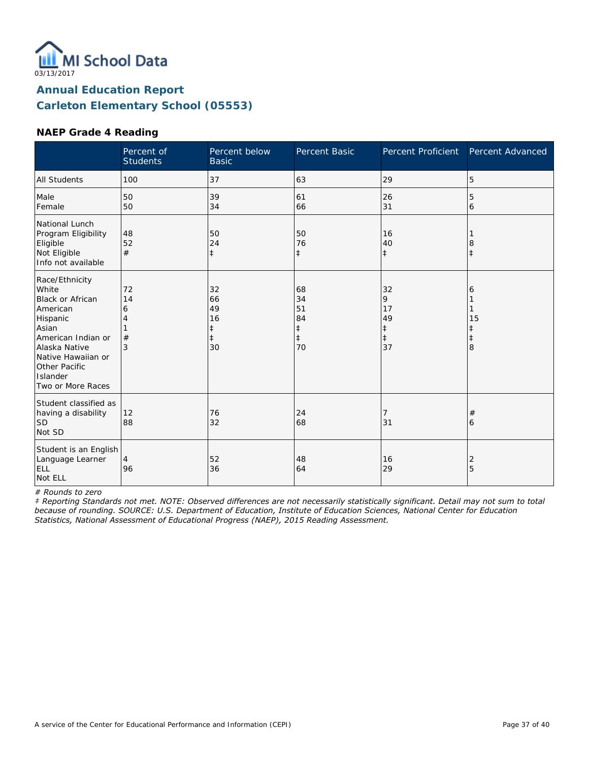

#### **NAEP Grade 4 Reading**

|                                                                                                                                                                                                    | Percent of<br><b>Students</b> | Percent below<br><b>Basic</b>                 | Percent Basic                                          | <b>Percent Proficient</b>                    | Percent Advanced                |
|----------------------------------------------------------------------------------------------------------------------------------------------------------------------------------------------------|-------------------------------|-----------------------------------------------|--------------------------------------------------------|----------------------------------------------|---------------------------------|
| <b>All Students</b>                                                                                                                                                                                | 100                           | 37                                            | 63                                                     | 29                                           | 5                               |
| Male<br>Female                                                                                                                                                                                     | 50<br>50                      | 39<br>34                                      | 61<br>66                                               | 26<br>31                                     | 5<br>6                          |
| National Lunch<br>Program Eligibility<br>Eligible<br>Not Eligible<br>Info not available                                                                                                            | 48<br>52<br>#                 | 50<br>24<br>$\ddagger$                        | 50<br>76<br>$\ddagger$                                 | 16<br>40<br>$\ddagger$                       | 8                               |
| Race/Ethnicity<br>White<br><b>Black or African</b><br>American<br>Hispanic<br>Asian<br>American Indian or<br>Alaska Native<br>Native Hawaiian or<br>Other Pacific<br>Islander<br>Two or More Races | 72<br>14<br>6<br>4<br>#<br>3  | 32<br>66<br>49<br>16<br>ŧ<br>$\ddagger$<br>30 | 68<br>34<br>51<br>84<br>$\ddagger$<br>$\ddagger$<br>70 | 32<br>9<br>17<br>49<br>‡<br>$\ddagger$<br>37 | 6<br>15<br>ŧ<br>$\ddagger$<br>8 |
| Student classified as<br>having a disability<br><b>SD</b><br>Not SD                                                                                                                                | 12<br>88                      | 76<br>32                                      | 24<br>68                                               | 7<br>31                                      | #<br>6                          |
| Student is an English<br>Language Learner<br>ELL<br>Not ELL                                                                                                                                        | 4<br>96                       | 52<br>36                                      | 48<br>64                                               | 16<br>29                                     | 2<br>5                          |

*# Rounds to zero*

*‡ Reporting Standards not met. NOTE: Observed differences are not necessarily statistically significant. Detail may not sum to total because of rounding. SOURCE: U.S. Department of Education, Institute of Education Sciences, National Center for Education Statistics, National Assessment of Educational Progress (NAEP), 2015 Reading Assessment.*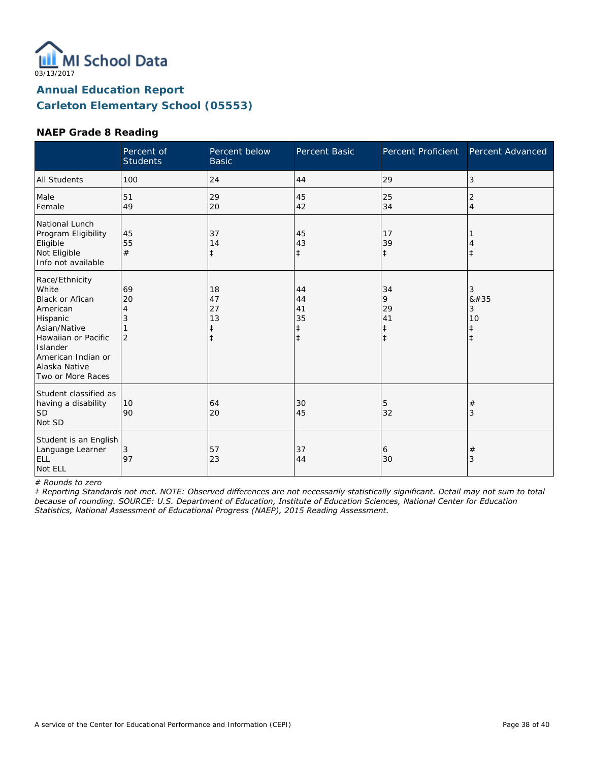

#### **NAEP Grade 8 Reading**

|                                                                                                                                                                                          | Percent of<br><b>Students</b>        | Percent below<br><b>Basic</b>                    | Percent Basic                                    | Percent Proficient                              | Percent Advanced                        |
|------------------------------------------------------------------------------------------------------------------------------------------------------------------------------------------|--------------------------------------|--------------------------------------------------|--------------------------------------------------|-------------------------------------------------|-----------------------------------------|
| <b>All Students</b>                                                                                                                                                                      | 100                                  | 24                                               | 44                                               | 29                                              | 3                                       |
| Male<br>Female                                                                                                                                                                           | 51<br>49                             | 29<br>20                                         | 45<br>42                                         | 25<br>34                                        | 2<br>$\overline{4}$                     |
| National Lunch<br>Program Eligibility<br>Eligible<br>Not Eligible<br>Info not available                                                                                                  | 45<br>55<br>#                        | 37<br>14<br>$\ddagger$                           | 45<br>43<br>$\ddagger$                           | 17<br>39<br>$\ddagger$                          | $\ddagger$                              |
| Race/Ethnicity<br>White<br><b>Black or Afican</b><br>American<br>Hispanic<br>Asian/Native<br>Hawaiian or Pacific<br>Islander<br>American Indian or<br>Alaska Native<br>Two or More Races | 69<br>20<br>4<br>3<br>$\overline{2}$ | 18<br>47<br>27<br>13<br>$\ddagger$<br>$\ddagger$ | 44<br>44<br>41<br>35<br>$\ddagger$<br>$\ddagger$ | 34<br>9<br>29<br>41<br>$\ddagger$<br>$\ddagger$ | 3<br>8#35<br>3<br>10<br>ŧ<br>$\ddagger$ |
| Student classified as<br>having a disability<br>lsd<br>Not SD                                                                                                                            | 10<br>90                             | 64<br>20                                         | 30<br>45                                         | 5<br>32                                         | #<br>3                                  |
| Student is an English<br>Language Learner<br>ELL<br>Not ELL                                                                                                                              | 3<br>97                              | 57<br>23                                         | 37<br>44                                         | 6<br>30                                         | $^{\#}$<br>3                            |

*# Rounds to zero*

*‡ Reporting Standards not met. NOTE: Observed differences are not necessarily statistically significant. Detail may not sum to total because of rounding. SOURCE: U.S. Department of Education, Institute of Education Sciences, National Center for Education Statistics, National Assessment of Educational Progress (NAEP), 2015 Reading Assessment.*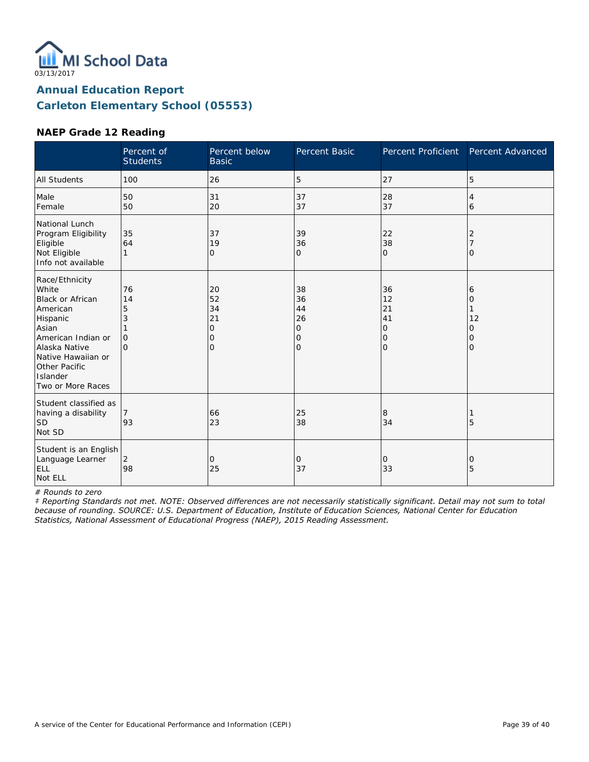

#### **NAEP Grade 12 Reading**

|                                                                                                                                                                                             | Percent of<br><b>Students</b>              | Percent below<br><b>Basic</b>                    | Percent Basic                                    | <b>Percent Proficient</b>            | Percent Advanced                   |
|---------------------------------------------------------------------------------------------------------------------------------------------------------------------------------------------|--------------------------------------------|--------------------------------------------------|--------------------------------------------------|--------------------------------------|------------------------------------|
| <b>All Students</b>                                                                                                                                                                         | 100                                        | 26                                               | 5                                                | 27                                   | 5                                  |
| Male<br>Female                                                                                                                                                                              | 50<br>50                                   | 31<br>20                                         | 37<br>37                                         | 28<br>37                             | 4<br>6                             |
| National Lunch<br>Program Eligibility<br>Eligible<br>Not Eligible<br>Info not available                                                                                                     | 35<br>64<br>1                              | 37<br>19<br>$\mathbf{O}$                         | 39<br>36<br>O                                    | 22<br>38<br>$\mathbf{O}$             | 2<br>O                             |
| Race/Ethnicity<br>White<br>Black or African<br>American<br>Hispanic<br>Asian<br>American Indian or<br>Alaska Native<br>Native Hawaiian or<br>Other Pacific<br>Islander<br>Two or More Races | 76<br>14<br>5<br>3<br>$\Omega$<br>$\Omega$ | 20<br>52<br>34<br>21<br>0<br>0<br>$\overline{O}$ | 38<br>36<br>44<br>26<br>0<br>0<br>$\overline{O}$ | 36<br>12<br>21<br>41<br>0<br>0<br>lo | 6<br>0<br>12<br>0<br>0<br>$\Omega$ |
| Student classified as<br>having a disability<br><b>SD</b><br>Not SD                                                                                                                         | 93                                         | 66<br>23                                         | 25<br>38                                         | 8<br>34                              | 5                                  |
| Student is an English<br>Language Learner<br>ELL<br>Not ELL                                                                                                                                 | 2<br>98                                    | 0<br>25                                          | 0<br>37                                          | 0<br>33                              | 0<br>5                             |

*# Rounds to zero*

*‡ Reporting Standards not met. NOTE: Observed differences are not necessarily statistically significant. Detail may not sum to total because of rounding. SOURCE: U.S. Department of Education, Institute of Education Sciences, National Center for Education Statistics, National Assessment of Educational Progress (NAEP), 2015 Reading Assessment.*